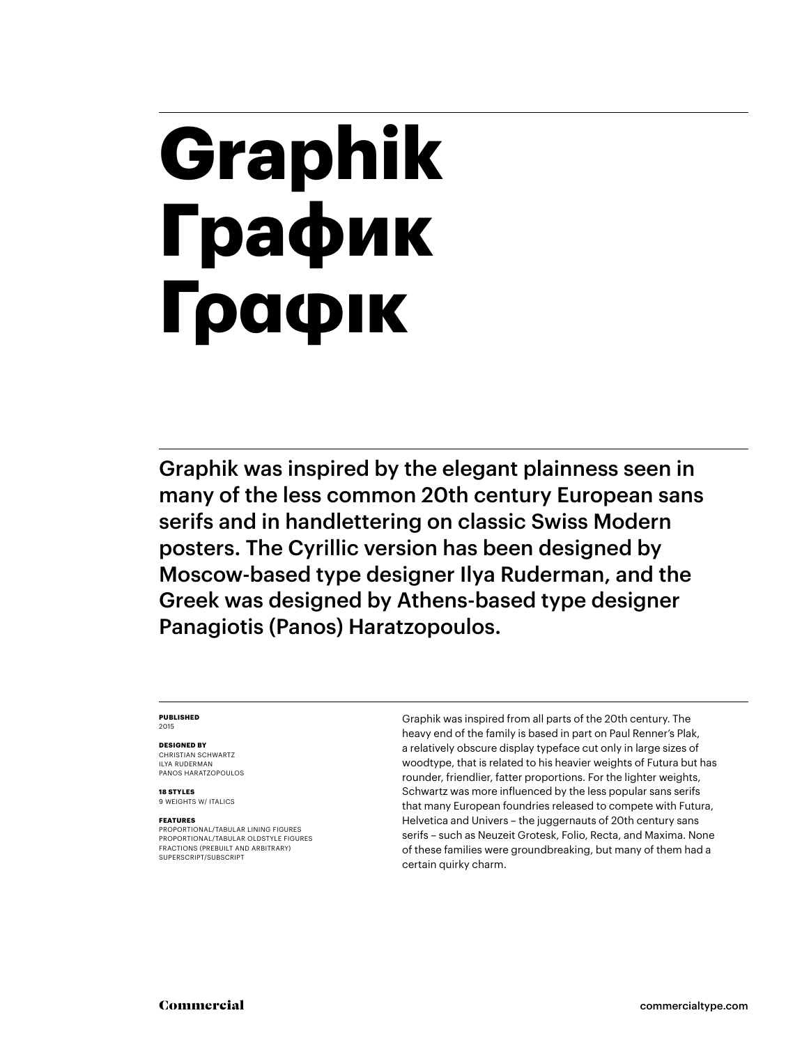# **Graphik График Γραφικ**

Graphik was inspired by the elegant plainness seen in many of the less common 20th century European sans serifs and in handlettering on classic Swiss Modern posters. The Cyrillic version has been designed by Moscow-based type designer Ilya Ruderman, and the Greek was designed by Athens-based type designer Panagiotis (Panos) Haratzopoulos.

#### **PUBLISHED** 2015

#### **DESIGNED BY**

CHRISTIAN SCHWARTZ ILYA RUDERMAN PANOS HARATZOPOULOS

**18 STYLES** 9 WEIGHTS W/ ITALICS

#### **FEATURES**

PROPORTIONAL/TABULAR LINING FIGURES PROPORTIONAL/TABULAR OLDSTYLE FIGURES FRACTIONS (PREBUILT AND ARBITRARY) SUPERSCRIPT/SUBSCRIPT

Graphik was inspired from all parts of the 20th century. The heavy end of the family is based in part on Paul Renner's Plak, a relatively obscure display typeface cut only in large sizes of woodtype, that is related to his heavier weights of Futura but has rounder, friendlier, fatter proportions. For the lighter weights, Schwartz was more influenced by the less popular sans serifs that many European foundries released to compete with Futura, Helvetica and Univers – the juggernauts of 20th century sans serifs – such as Neuzeit Grotesk, Folio, Recta, and Maxima. None of these families were groundbreaking, but many of them had a certain quirky charm.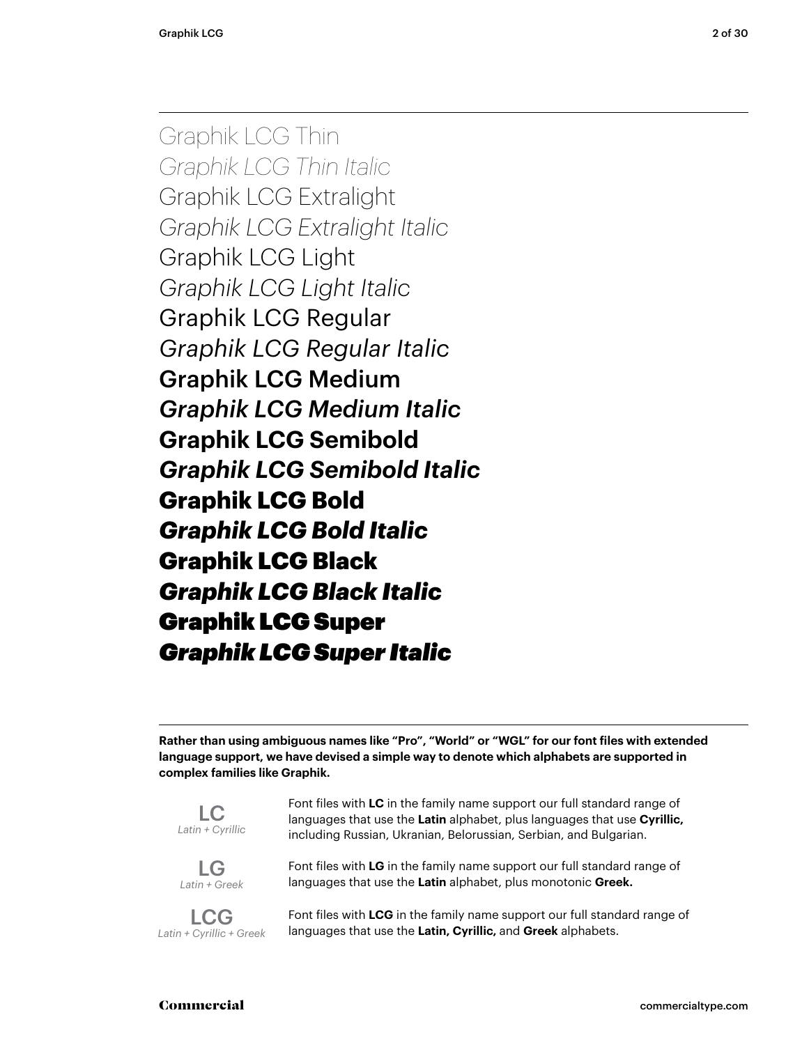Graphik LCG Thin *Graphik LCG Thin Italic* Graphik LCG Extralight *Graphik LCG Extralight Italic* Graphik LCG Light *Graphik LCG Light Italic* Graphik LCG Regular *Graphik LCG Regular Italic* Graphik LCG Medium *Graphik LCG Medium Italic* **Graphik LCG Semibold** *Graphik LCG Semibold Italic* **Graphik LCG Bold** *Graphik LCG Bold Italic* Graphik LCG Black *Graphik LCG Black Italic* Graphik LCG Super *Graphik LCG Super Italic*

**Rather than using ambiguous names like "Pro", "World" or "WGL" for our font files with extended language support, we have devised a simple way to denote which alphabets are supported in complex families like Graphik.**

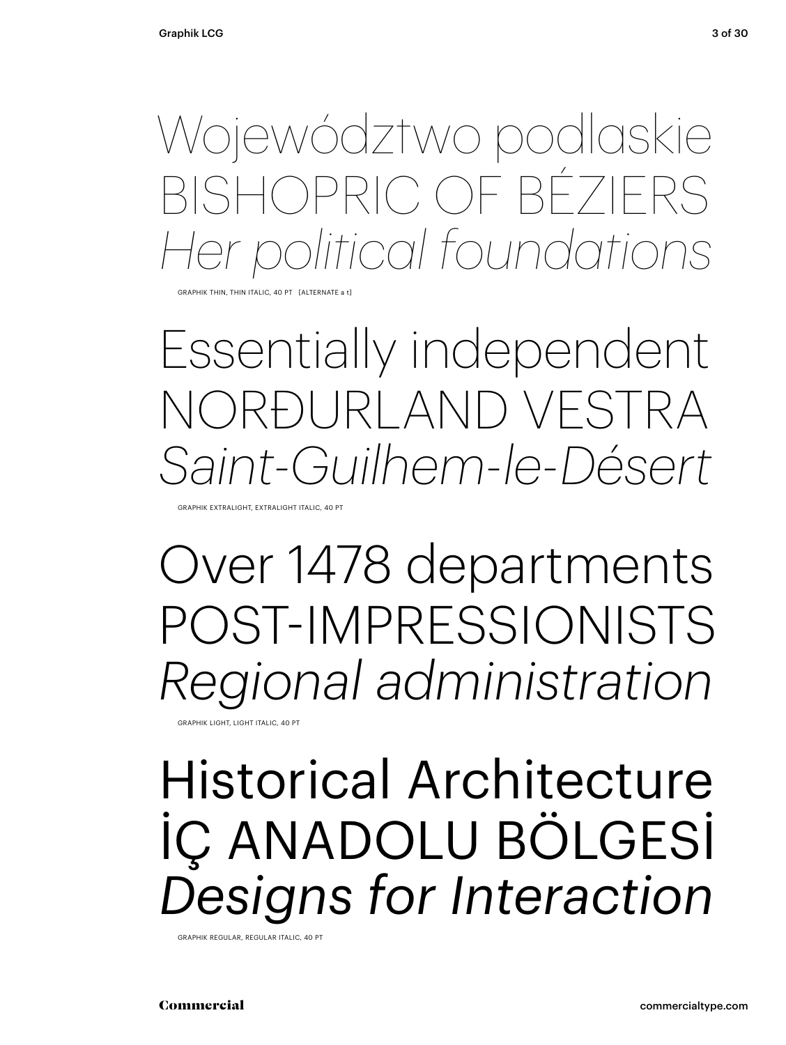Województwo podlaskie BISHOPRIC OF BÉZIERS *Her political foundations*

HIK THIN, THIN ITALIC, 40 PT [ALTERNATE

Essentially independent NORÐURLAND VESTRA *Saint-Guilhem-le-Désert*

GRAPHIK EXTRALIGHT, EXTRALIGHT ITALIC, 40 PT

Over 1478 departments POST-IMPRESSIONISTS *Regional administration*

GRAPHIK LIGHT, LIGHT ITALIC, 40 PT

## Historical Architecture İÇ ANADOLU BÖLGESİ *Designs for Interaction*

GRAPHIK REGULAR, REGULAR ITALIC, 40 PT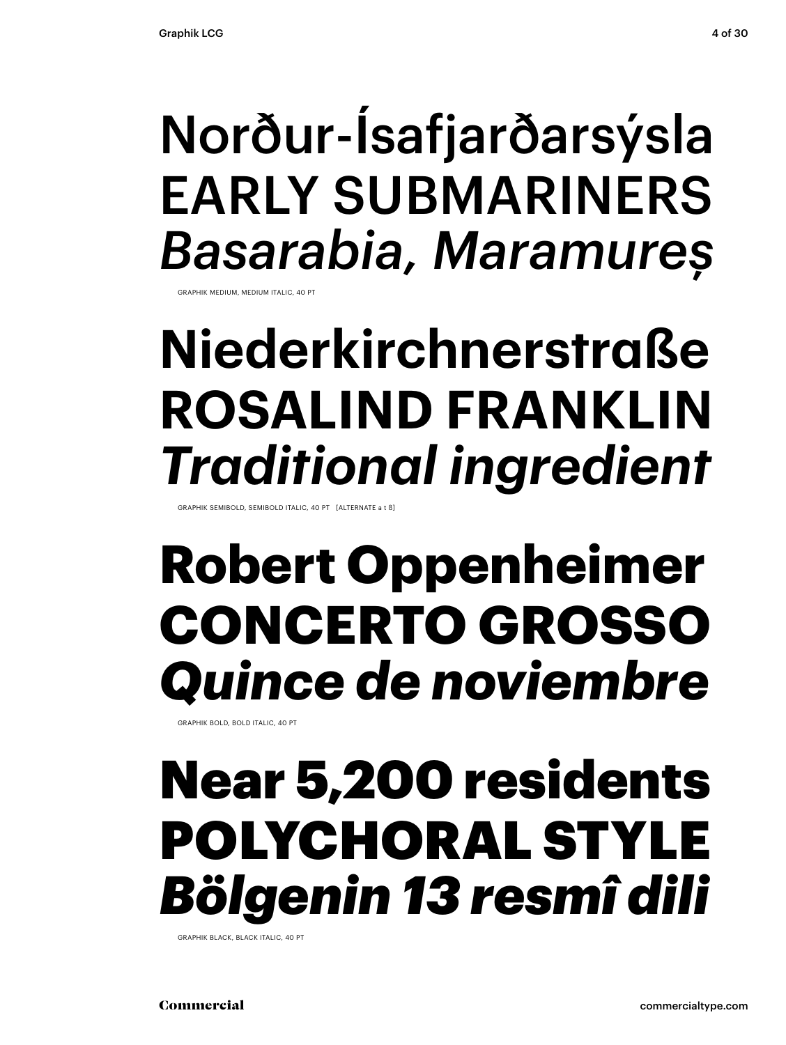## Norður-Ísafjarðarsýsla EARLY SUBMARINERS *Basarabia, Maramureș*

GRAPHIK MEDIUM, MEDIUM ITALIC, 40 PT

## **Niederkirchnerstraße ROSALIND FRANKLIN** *Traditional ingredient*

GRAPHIK SEMIBOLD, SEMIBOLD ITALIC, 40 PT [ALTERNATE a t ß]

## **Robert Oppenheimer CONCERTO GROSSO** *Quince de noviembre*

GRAPHIK BOLD, BOLD ITALIC, 40 PT

## Near 5,200 residents POLYCHORAL STYLE *Bölgenin 13 resmî dili*

GRAPHIK BLACK, BLACK ITALIC, 40 PT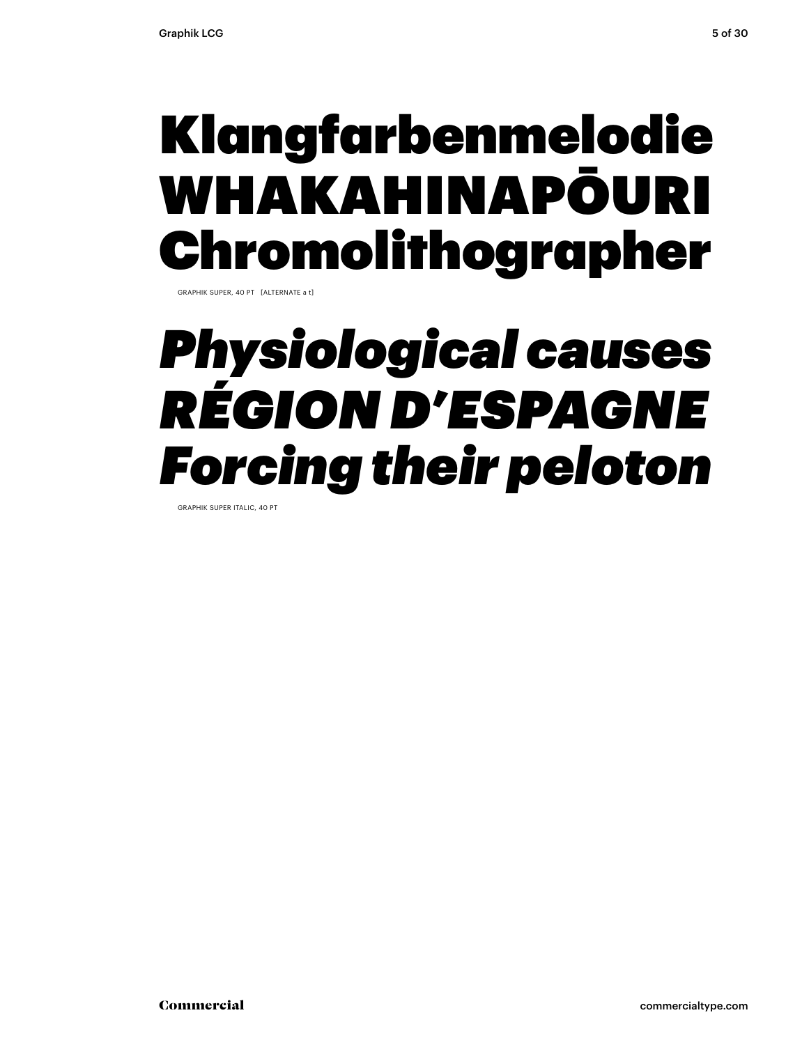## Klangfarbenmelodie WHAKAHINAPŌURI Chromolithographer

GRAPHIK SUPER, 40 PT [ALTERNATE a t]

## *Physiological causes RÉGION D'ESPAGNE Forcing their peloton*

GRAPHIK SUPER ITALIC, 40 PT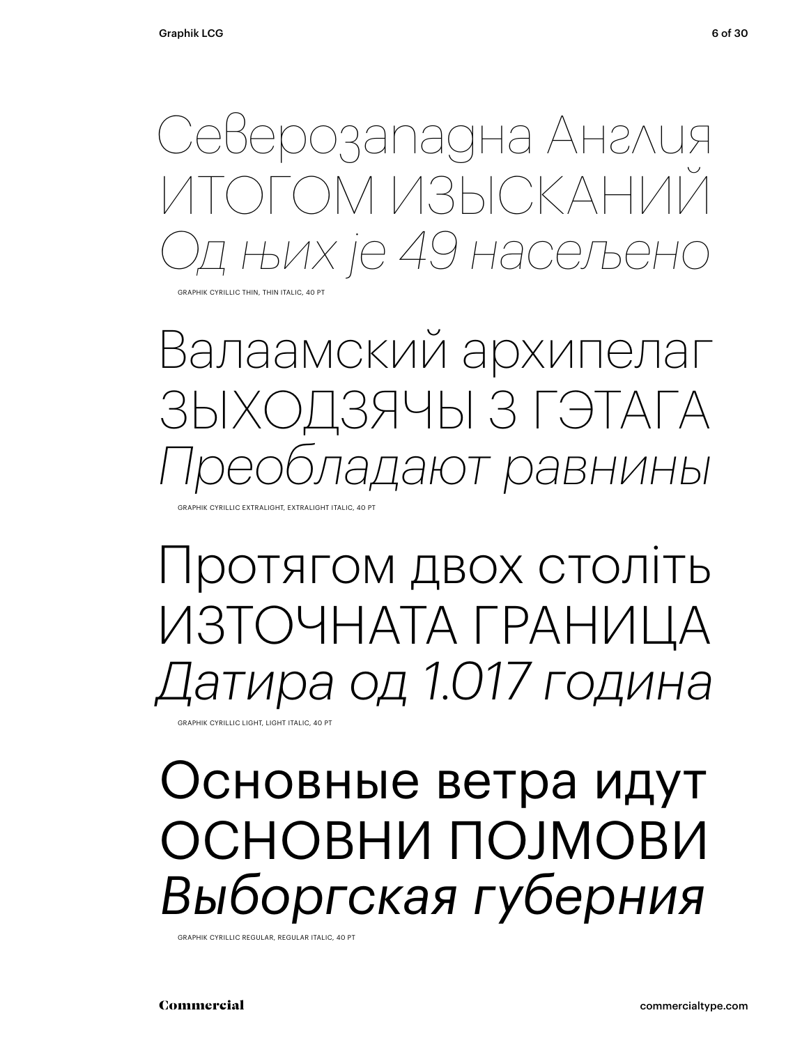Северозападна Англия ОГОМ ИЗЫСКАНИЙ *Од њих је 49 насељено*

GRAPHIK CYRILLIC THIN, THIN ITALIC, 40 PT

Валаамский архипелаг ЗЫХОДЗЯЧЫ З ГЭТАГА *Преобладают равнины*

GRAPHIK CYRILLIC EXTRALIGHT, EXTRALIGHT ITALIC, 40 PT

Протягом двох століть ИЗТОЧНАТА ГРАНИЦА *Датира од 1.017 година*

GRAPHIK CYRILLIC LIGHT, LIGHT ITALIC, 40 PT

## Основные ветра идут ОСНОВНИ ПОЈМОВИ *Выборгская губерния*

GRAPHIK CYRILLIC REGULAR, REGULAR ITALIC, 40 PT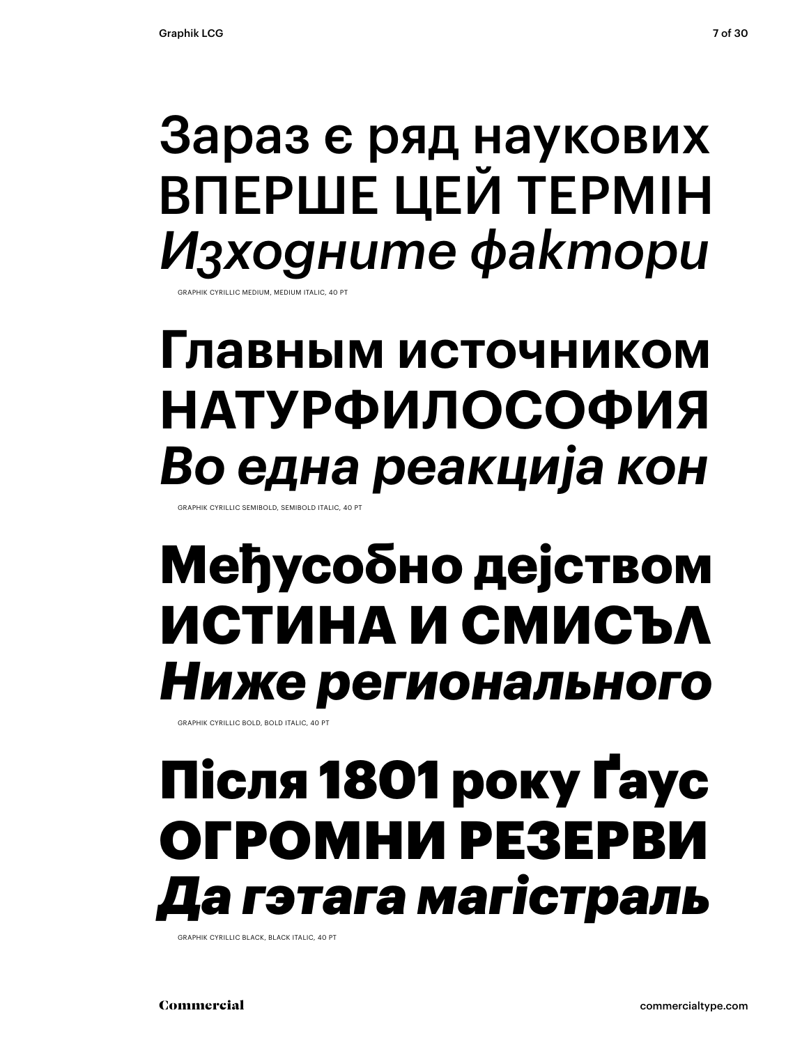## Зараз є ряд наукових ВПЕРШЕ ЦЕЙ ТЕРМІН *Изходните фактори*

**GRAPHIK CYRILLIC MEDIUM, MEDIUM ITALIC, 40** 

## **Главным источником НАТУРФИЛОСОФИЯ** *Во една реакција кон*

GRAPHIK CYRILLIC SEMIBOLD, SEMIBOLD ITALIC, 40 PT

## **Међусобно дејством ИСТИНА И СМИСЪЛ** *Ниже регионального*

GRAPHIK CYRILLIC BOLD, BOLD ITALIC, 40 PT

## Після 1801 року Ґаус ОГРОМНИ РЕЗЕРВИ *Да гэтага магістраль*

GRAPHIK CYRILLIC BLACK, BLACK ITALIC, 40 PT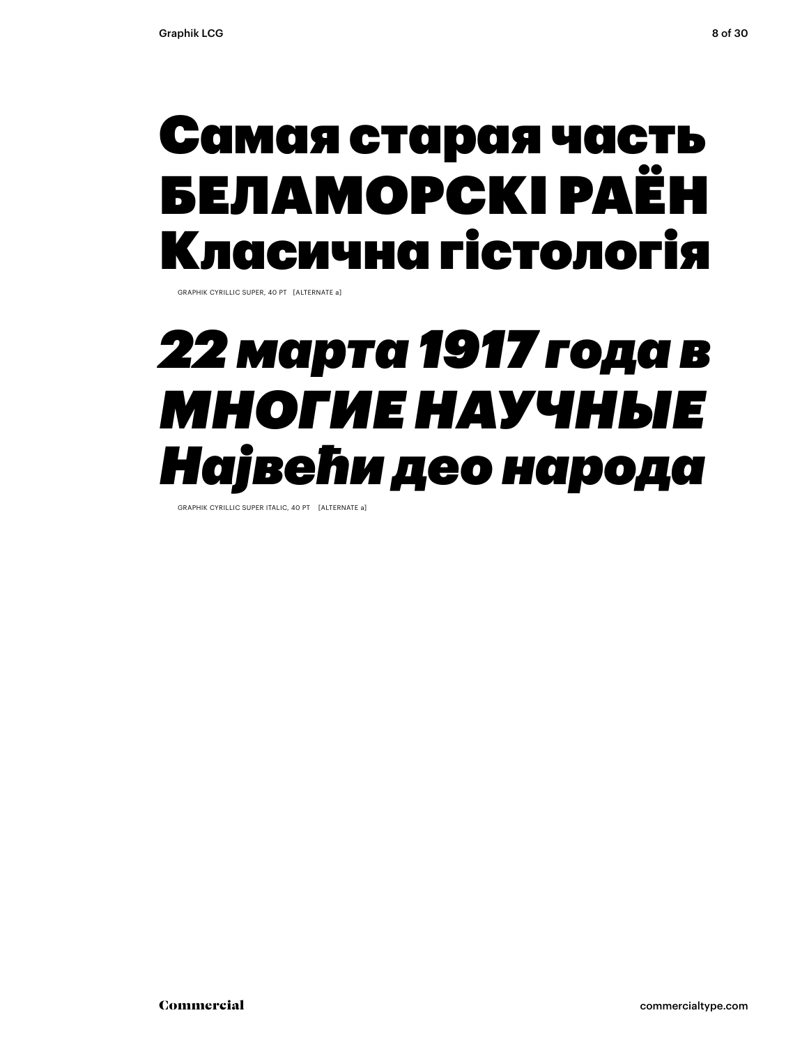## Самая старая часть БЕЛАМОРСКІ РАЁН Класична гістологія

GRAPHIK CYRILLIC SUPER, 40 PT [ALTERNATE a]

## *22 марта 1917 года в МНОГИЕ НАУЧНЫЕ Највећи део народа*

GRAPHIK CYRILLIC SUPER ITALIC, 40 PT [ALTERNATE a]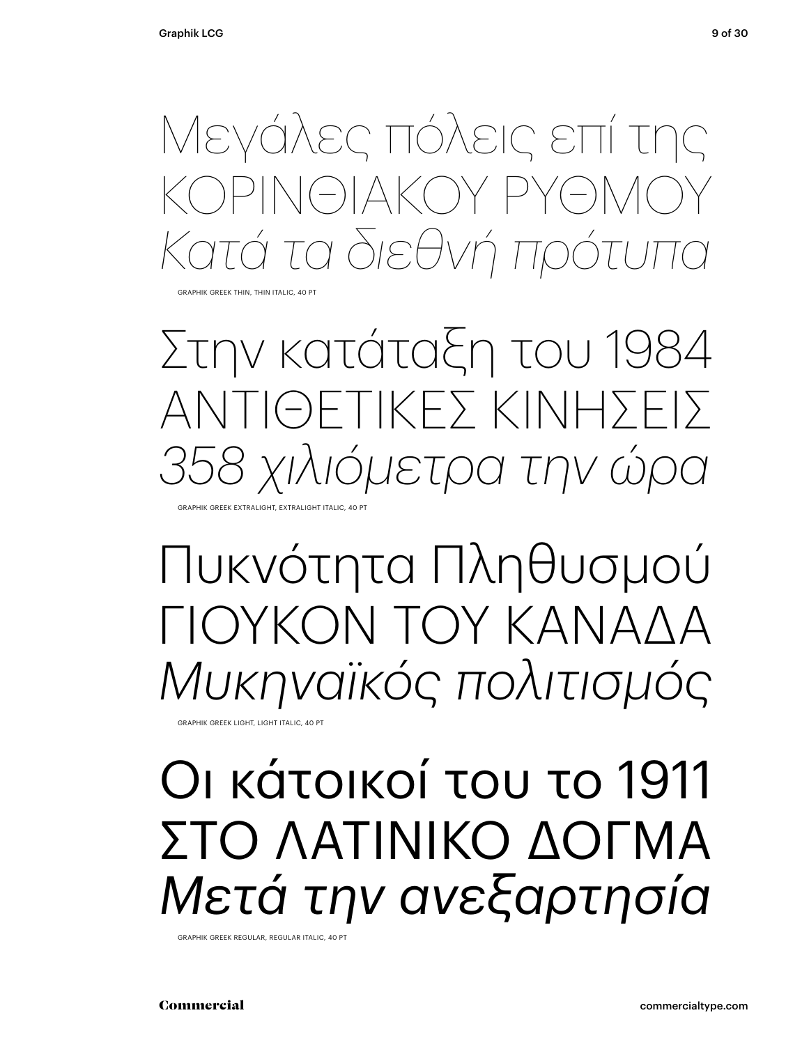Μεγάλες πόλεις επί της ΟΡΙΝΘΙΑΚΟΎ ΡΥΘΜΟ *Κατά τα διεθνή πρότυπα*

GRAPHIK GREEK THIN, THIN ITALIC, 40 PT

Στην κατάταξη του 1984 ΑΝΤΙΘΕΤΙΚΕΣ ΚΙΝΉΣΕΙΣ *358 χιλιόμετρα την ώρα* GRAPHIK GREEK EXTRALIGHT, EXTRALIGHT ITALIC, 40 PT

Πυκνότητα Πληθυσμού ΓΙΟΥΚΟΝ ΤΟΥ ΚΑΝΑΛΑ *Μυκηναϊκός πολιτισμός*

GRAPHIK GREEK LIGHT, LIGHT ITALIC, 40 PT

## Οι κάτοικοί του το 1911 ΣΤΟ ΛΑΤΙΝΙΚΟ ΔΟΓΜΑ *Μετά την ανεξαρτησία*

GRAPHIK GREEK REGULAR, REGULAR ITALIC, 40 PT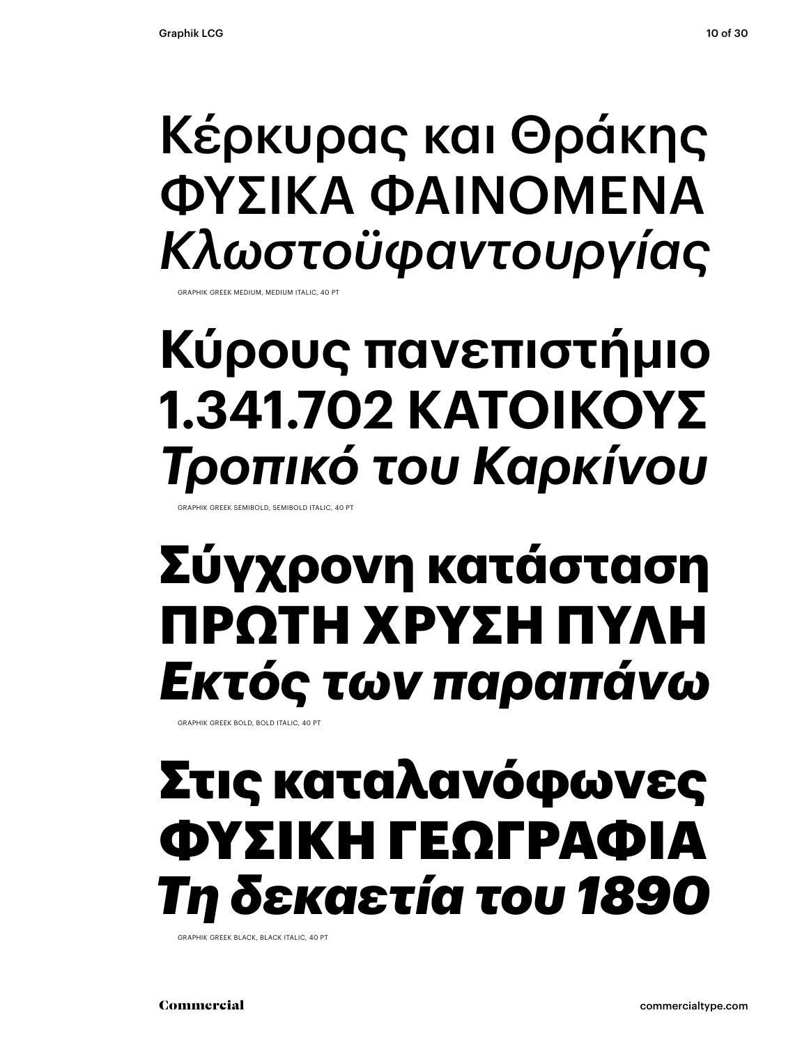## Κέρκυρας και Θράκης ΦΥΣΙΚΆ ΦΑΙΝΌΜΕΝΑ *Κλωστοϋφαντουργίας*

GRAPHIK GREEK MEDIUM, MEDIUM ITALIC, 40 PT

## **Κύρους πανεπιστήμιο 1.341.702 ΚΑΤΟΊΚΟΥΣ** *Τροπικό του Καρκίνου*

GRAPHIK GREEK SEMIBOLD, SEMIBOLD ITALIC, 40 PT

## **Σύγχρονη κατάσταση ΠΡΏΤΗ ΧΡΥΣΉ ΠΥΛΗ** *Εκτός των παραπάνω*

GRAPHIK GREEK BOLD, BOLD ITALIC, 40 PT

## Στις καταλανόφωνες ΦΥΣΙΚΉ ΓΕΩΓΡΑΦΙΑ *Τη δεκαετία του 1890*

GRAPHIK GREEK BLACK, BLACK ITALIC, 40 PT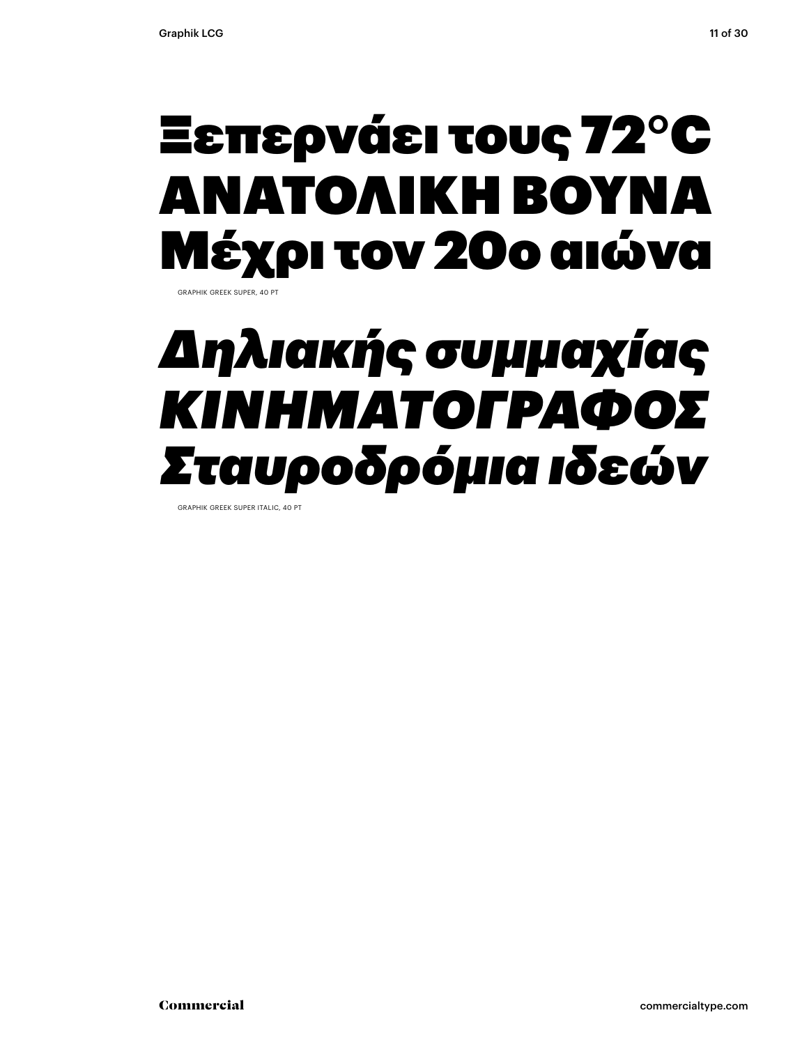## Ξεπερνάει τους 72°C ΑΝΑΤΟΛΙΚΉ ΒΟΥΝΑ Μέχρι τον 20ο αιώνα

GRAPHIK GREEK SUPER, 40 PT

## *Δηλιακής συμμαχίας ΚΙΝΗΜΑΤΟΓΡΑΦΟΣ Σταυροδρόμια ιδεών*

GRAPHIK GREEK SUPER ITALIC, 40 PT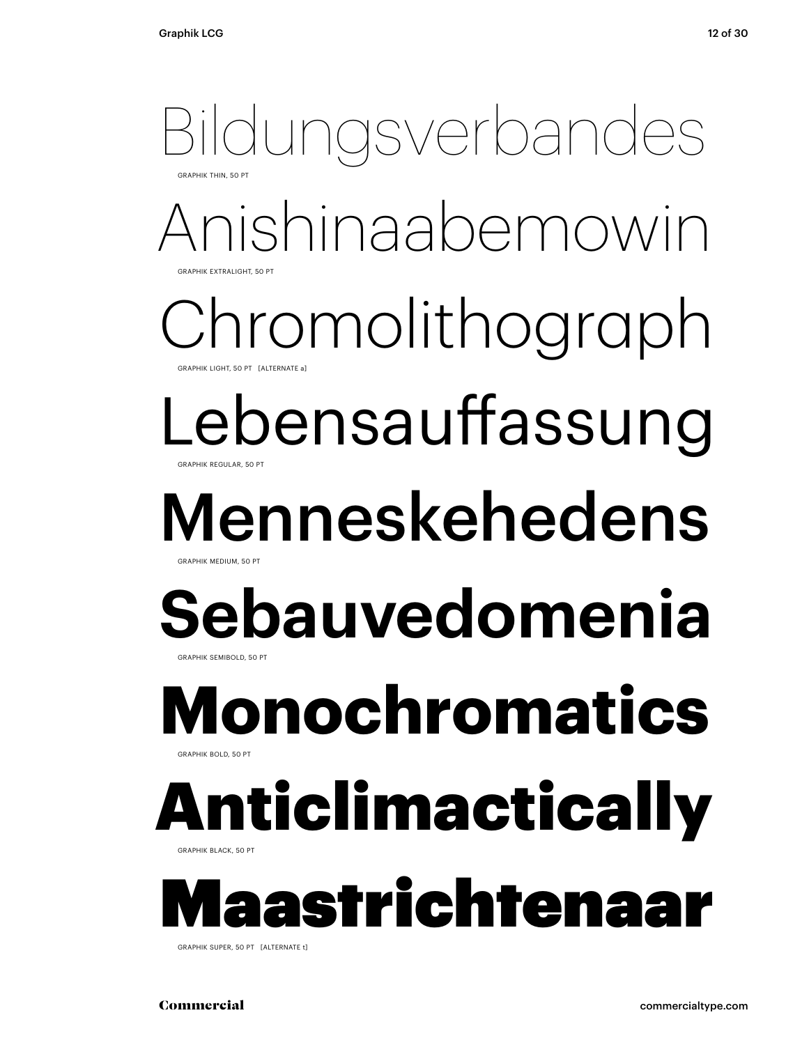### Anishinaabemowin aromolithograph Lebensauffassung Menneskehedens **Sebauvedomenia** Bildungsverbandes GRAPHIK THIN, 50 PT **GRAPHIK EXTRALIGHT, 50 PT** GRAPHIK LIGHT, 50 PT [ALTERNATE a] GRAPHIK REGULAR, 50 PT GRAPHIK MEDIUM, 50 PT GRAPHIK SEMIBOLD, 50 PT **Monochromatics** GRAPHIK BOLD, 50 PT Anticlimactically GRAPHIK BLACK, 50 PT Maastrichtenaar GRAPHIK SUPER, 50 PT [ALTERNATE t]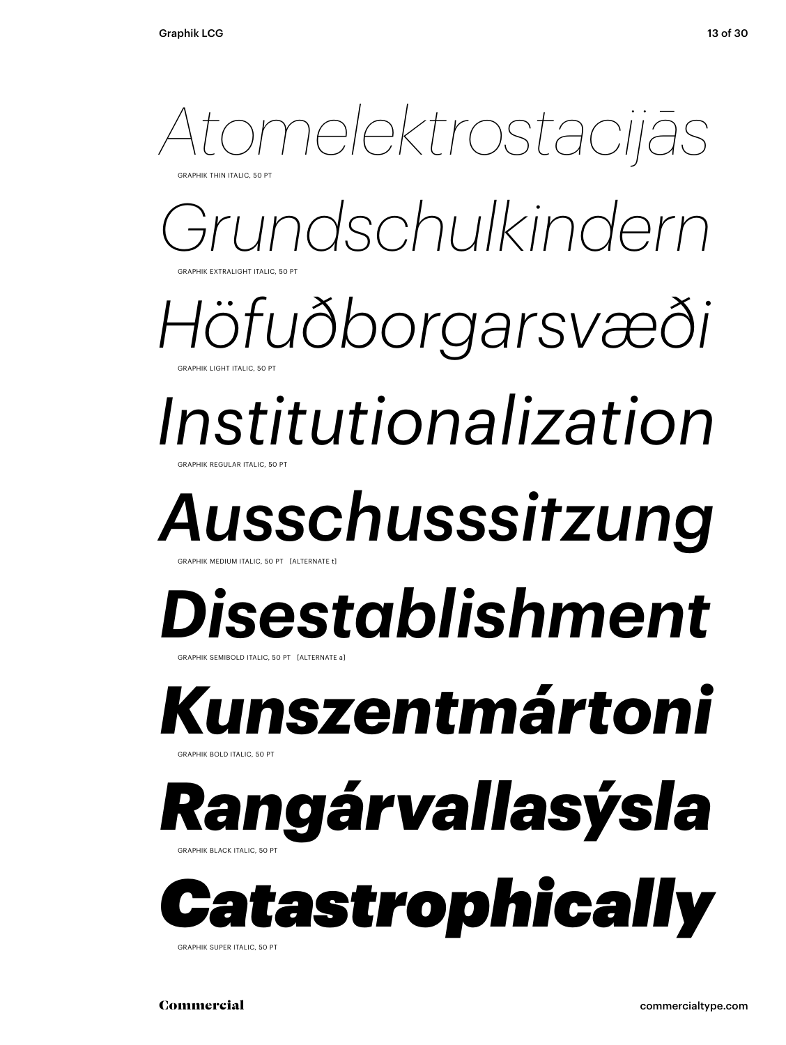

*Grundschulkindern* **GRAPHIK EXTRALIGHT ITALIC** 

*Höfuðborgarsvæði* GRAPHIK LIGHT ITALIC, 50 PT

### *Institutionalization* GRAPHIK REGULAR ITALIC, 50 PT

# *Ausschusssitzung*

GRAPHIK MEDIUM ITALIC, 50 PT [ALTERNATE

### *Disestablishment* GRAPHIK SEMIBOLD ITALIC, 50 PT [ALTERNATE a]

# *Kunszentmártoni*

GRAPHIK BOLD ITALIC, 50 PT

### *Rangárvallasýsla* GRAPHIK BLACK ITALIC, 50 PT



GRAPHIK SUPER ITALIC, 50 PT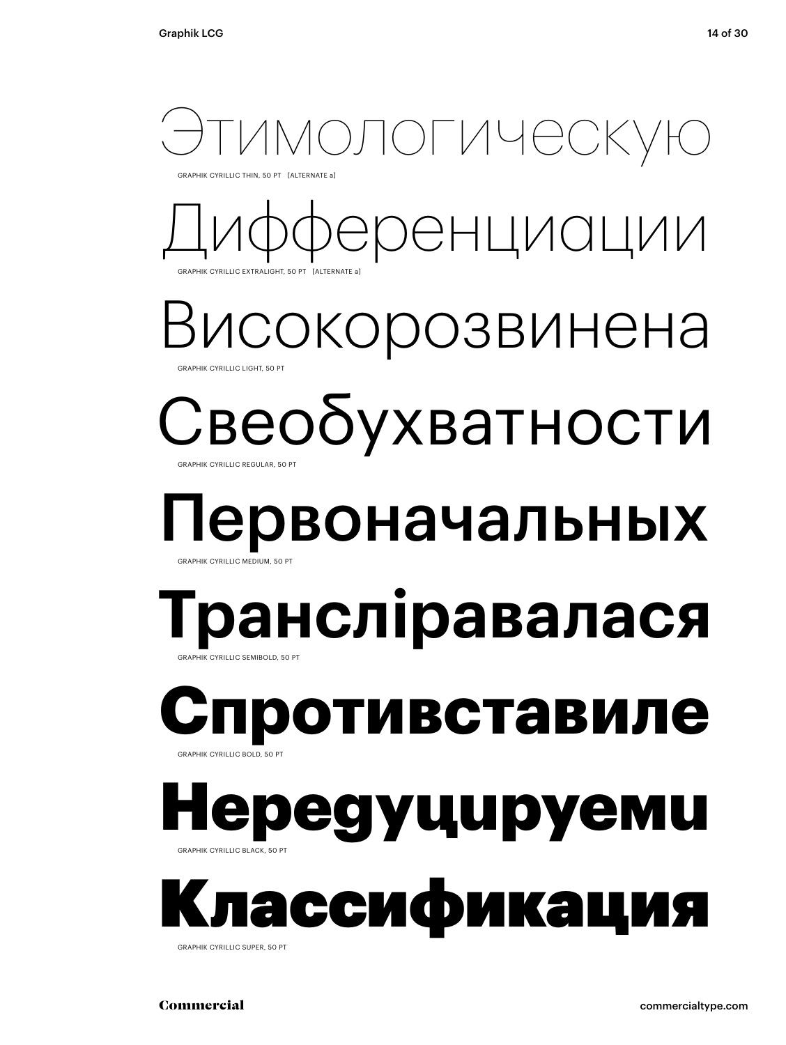

GRAPHIK CYRILLIC THIN, 50 PT [ALTERNATE a]



Високорозвинена GRAPHIK CYRILLIC LIGHT, 50 PT

### Свеобухватности GRAPHIK CYRILLIC REGULAR, 50 PT

# Первоначальных

### GRAPHIK CYRILLIC MEDIUM, 50 P

### **Трансліравалася** GRAPHIK CYRILLIC SEMIBOLD, 50 PT

### **отивставиле** GRAPHIK CYRILLIC BOLD, 50 PT

### ередуцируеми GRAPHIK CYRILLIC BLACK, 50 PT

Классификация GRAPHIK CYRILLIC SUPER, 50 PT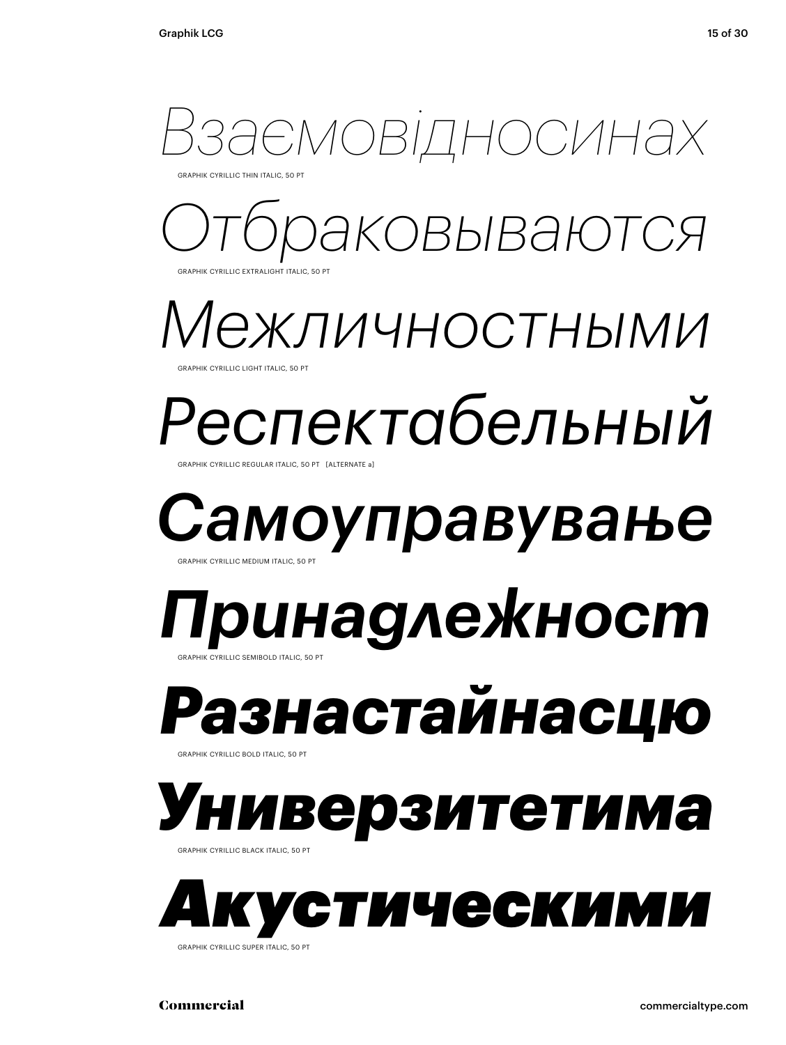

GRAPHIK CYRILLIC THIN ITALIC, 50 PT

*Отбраковываются* **GRAPHIK CYRILLIC EXTRALIGHT ITALIC, 50** 

*Межличностными*

GRAPHIK CYRILLIC LIGHT ITALIC, 50 PT

### *Респектабельный* GRAPHIK CYRILLIC REGULAR ITALIC, 50 PT [ALTERNATE

*Самоуправување* GRAPHIK CYRILLIC MEDIUM ITALIC, 50 PT

### *Принадлежност* GRAPHIK CYRILLIC SEMIBOLD ITALIC, 50 PT

# *Разнастайнасцю*

GRAPHIK CYRILLIC BOLD ITALIC, 50 PT



GRAPHIK CYRILLIC BLACK ITALIC, 50 PT



GRAPHIK CYRILLIC SUPER ITALIC, 50 PT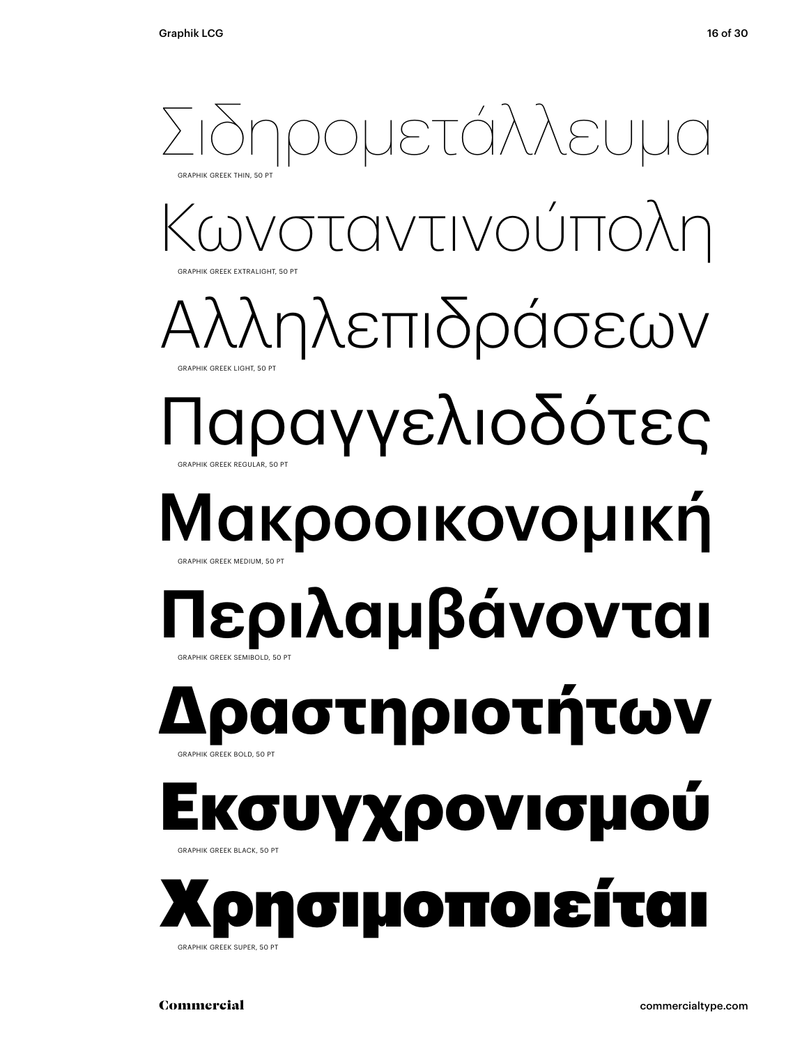### Κωνσταντινούπολη Αλληλεπιδράσεων Παραγγελιοδότες Μακροοικονομική **Περιλαμβάνονται** Σιδηρομετάλλευμα GRAPHIK GREEK THIN, 50 PT GRAPHIK GREEK EXTRALIGHT, 50 PT GRAPHIK GREEK LIGHT, 50 PT GRAPHIK GREEK REGULAR, 50 PT RAPHIK GREEK MEDIUM, 50 GRAPHIK GREEK SEMIBOLD, 50 PT **Δραστηριοτήτων** GRAPHIK GREEK BOLD, 50 PT συγχρονισμού GRAPHIK GREEK BLACK, 50 PT Χρησιμοποιείται GRAPHIK GREEK SUPER, 50 PT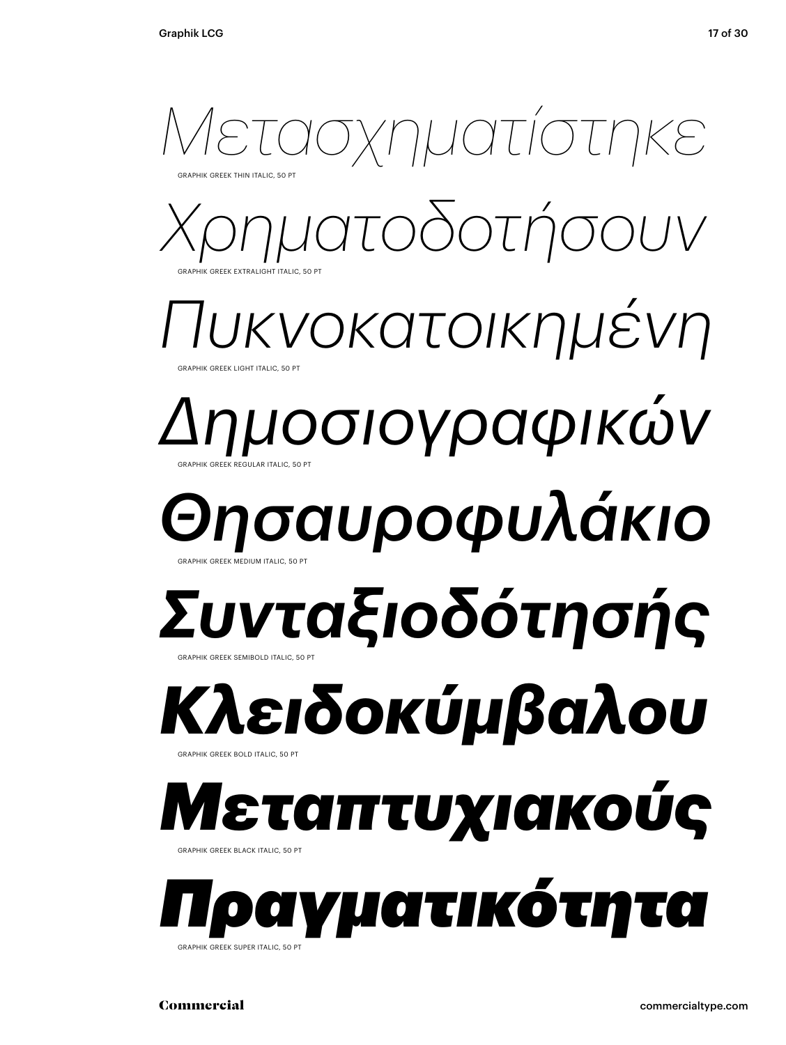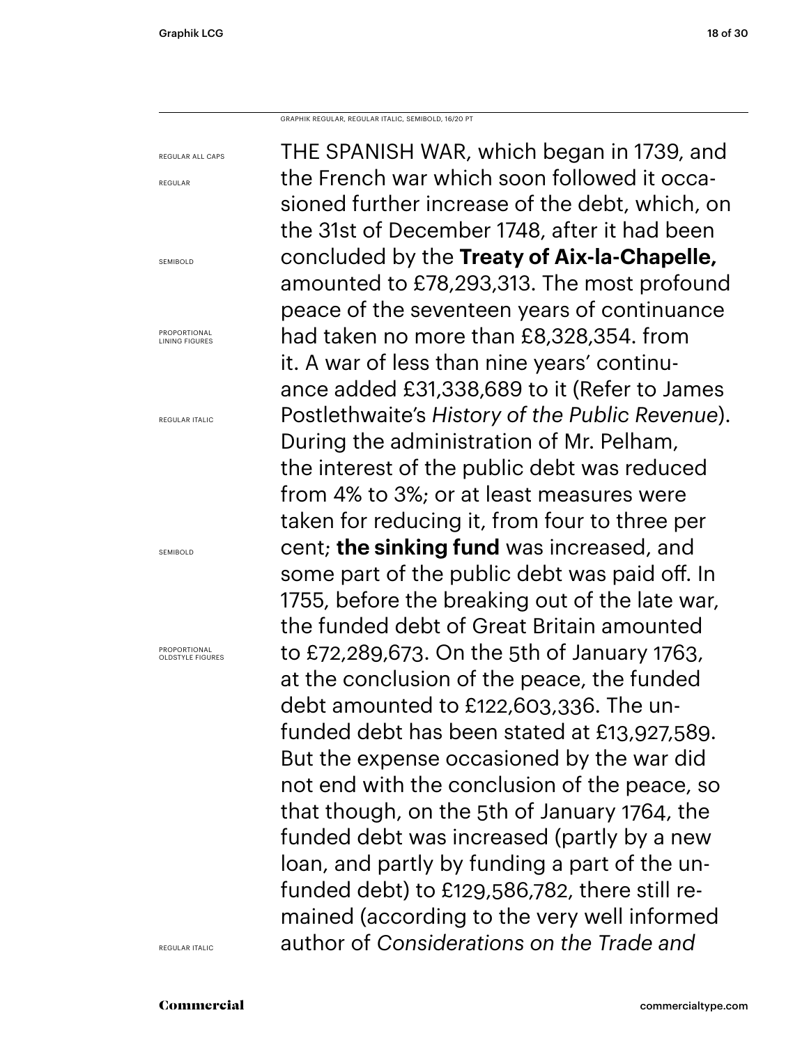GRAPHIK REGULAR, REGULAR ITALIC, SEMIBOLD, 16/20 PT

REGULAR ALL CAPS THE SPANISH WAR, which began in 1739, and the French war which soon followed it occasioned further increase of the debt, which, on the 31st of December 1748, after it had been concluded by the **Treaty of Aix-la-Chapelle,**  amounted to £78,293,313. The most profound peace of the seventeen years of continuance had taken no more than £8,328,354. from it. A war of less than nine years' continuance added £31,338,689 to it (Refer to James Postlethwaite's *History of the Public Revenue*). During the administration of Mr. Pelham, the interest of the public debt was reduced from 4% to 3%; or at least measures were taken for reducing it, from four to three per cent; **the sinking fund** was increased, and some part of the public debt was paid off. In 1755, before the breaking out of the late war, the funded debt of Great Britain amounted to £72,289,673. On the 5th of January 1763, at the conclusion of the peace, the funded debt amounted to £122,603,336. The unfunded debt has been stated at £13,927,589. But the expense occasioned by the war did not end with the conclusion of the peace, so that though, on the 5th of January 1764, the funded debt was increased (partly by a new loan, and partly by funding a part of the unfunded debt) to £129,586,782, there still remained (according to the very well informed author of *Considerations on the Trade and* 

REGULAR

SEMIBOLD

PROPORTIONAL LINING FIGURES

REGULAR ITALIC

SEMIBOLD

PROPORTIONAL OLDSTYLE FIGURES

REGULAR ITALIC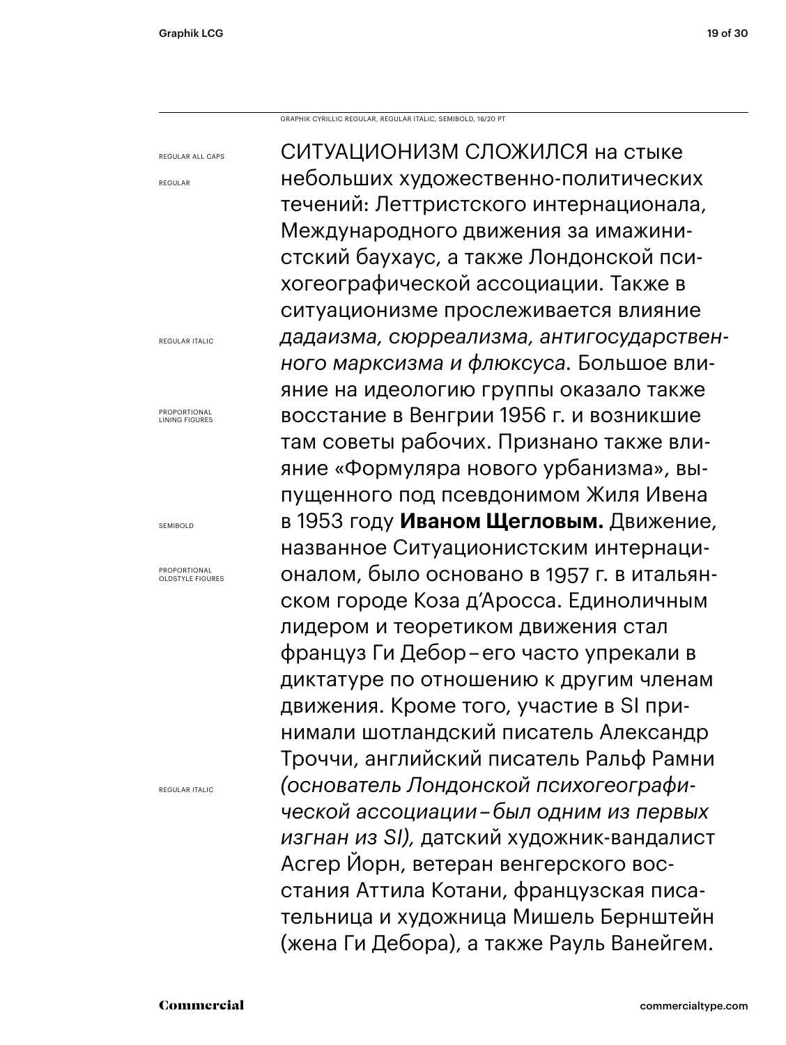GRAPHIK CYRILLIC REGULAR, REGULAR ITALIC, SEMIBOLD, 16/20 PT

REGULAR ALL CAPS

REGULAR

REGULAR ITALIC

PROPORTIONAL LINING FIGURES

SEMIBOLD

PROPORTIONAL OLDSTYLE FIGURES

REGULAR ITALIC

СИТУАЦИОНИЗМ СЛОЖИЛСЯ на стыке небольших художественно-политических течений: Леттристского интернационала, Международного движения за имажинистский баухаус, а также Лондонской психогеографической ассоциации. Также в ситуационизме прослеживается влияние *дадаизма, сюрреализма, антигосударственного марксизма и флюксуса.* Большое влияние на идеологию группы оказало также восстание в Венгрии 1956 г. и возникшие там советы рабочих. Признано также влияние «Формуляра нового урбанизма», выпущенного под псевдонимом Жиля Ивена в 1953 году **Иваном Щегловым.** Движение, названное Ситуационистским интернационалом, было основано в 1957 г. в итальянском городе Коза д'Аросса. Единоличным лидером и теоретиком движения стал француз Ги Дебор – его часто упрекали в диктатуре по отношению к другим членам движения. Кроме того, участие в SI принимали шотландский писатель Александр Троччи, английский писатель Ральф Рамни *(основатель Лондонской психогеографической ассоциации – был одним из первых изгнан из SI),* датский художник-вандалист Асгер Йорн, ветеран венгерского восстания Аттила Котани, французская писательница и художница Мишель Бернштейн (жена Ги Дебора), а также Рауль Ванейгем.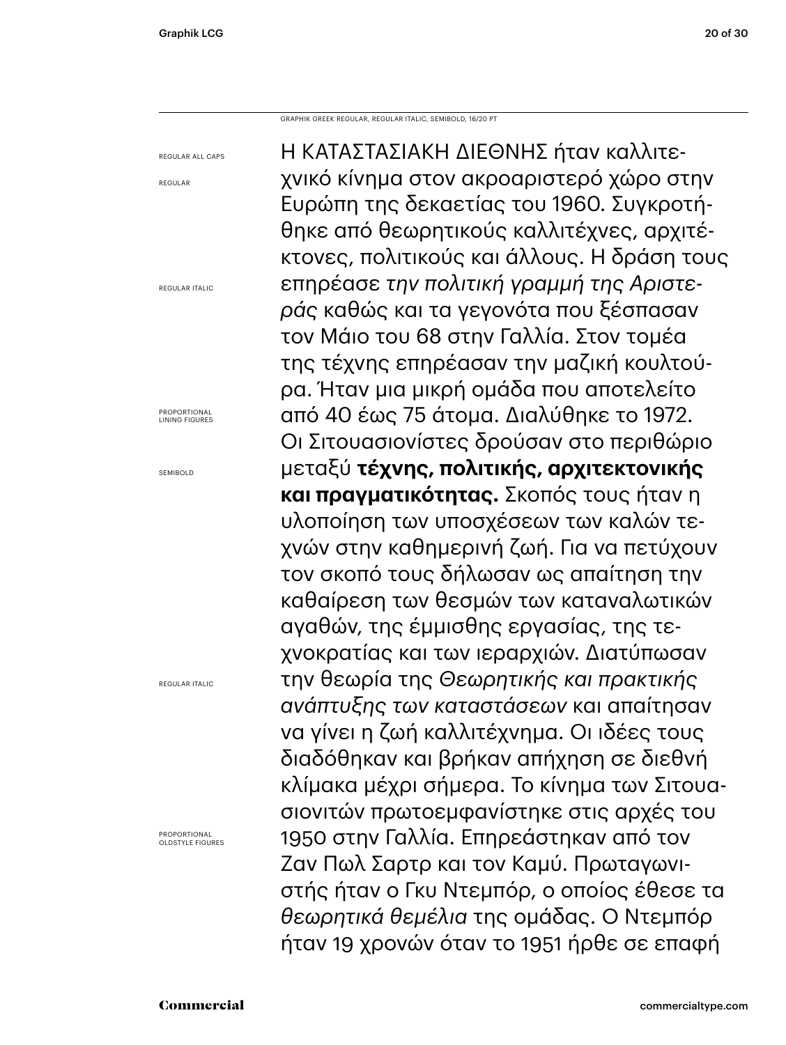GRAPHIK GREEK REGULAR, REGULAR ITALIC, SEMIBOLD, 16/20 PT

REGULAR ALL CAPS REGULAR REGULAR ITALIC PROPORTIONAL LINING FIGURES SEMIBOLD REGULAR ITALIC **PROPORTIONAL** OLDSTYLE FIGURES Η ΚΑΤΑΣΤΑΣΙΑΚΉ ΔΙΕΘΝΉΣ ήταν καλλιτεχνικό κίνημα στον ακροαριστερό χώρο στην Ευρώπη της δεκαετίας του 1960. Συγκροτήθηκε από θεωρητικούς καλλιτέχνες, αρχιτέκτονες, πολιτικούς και άλλους. Η δράση τους επηρέασε *την πολιτική γραμμή της Αριστεράς* καθώς και τα γεγονότα που ξέσπασαν τον Μάιο του 68 στην Γαλλία. Στον τομέα της τέχνης επηρέασαν την μαζική κουλτούρα. Ήταν μια μικρή ομάδα που αποτελείτο από 40 έως 75 άτομα. Διαλύθηκε το 1972. Οι Σιτουασιονίστες δρούσαν στο περιθώριο μεταξύ **τέχνης, πολιτικής, αρχιτεκτονικής και πραγματικότητας.** Σκοπός τους ήταν η υλοποίηση των υποσχέσεων των καλών τεχνών στην καθημερινή ζωή. Για να πετύχουν τον σκοπό τους δήλωσαν ως απαίτηση την καθαίρεση των θεσμών των καταναλωτικών αγαθών, της έμμισθης εργασίας, της τεχνοκρατίας και των ιεραρχιών. Διατύπωσαν την θεωρία της *Θεωρητικής και πρακτικής ανάπτυξης των καταστάσεων* και απαίτησαν να γίνει η ζωή καλλιτέχνημα. Οι ιδέες τους διαδόθηκαν και βρήκαν απήχηση σε διεθνή κλίμακα μέχρι σήμερα. Το κίνημα των Σιτουασιονιτών πρωτοεμφανίστηκε στις αρχές του 1950 στην Γαλλία. Επηρεάστηκαν από τον Ζαν Πωλ Σαρτρ και τον Καμύ. Πρωταγωνιστής ήταν ο Γκυ Ντεμπόρ, ο οποίος έθεσε τα *θεωρητικά θεμέλια* της ομάδας. Ο Ντεμπόρ ήταν 19 χρονών όταν το 1951 ήρθε σε επαφή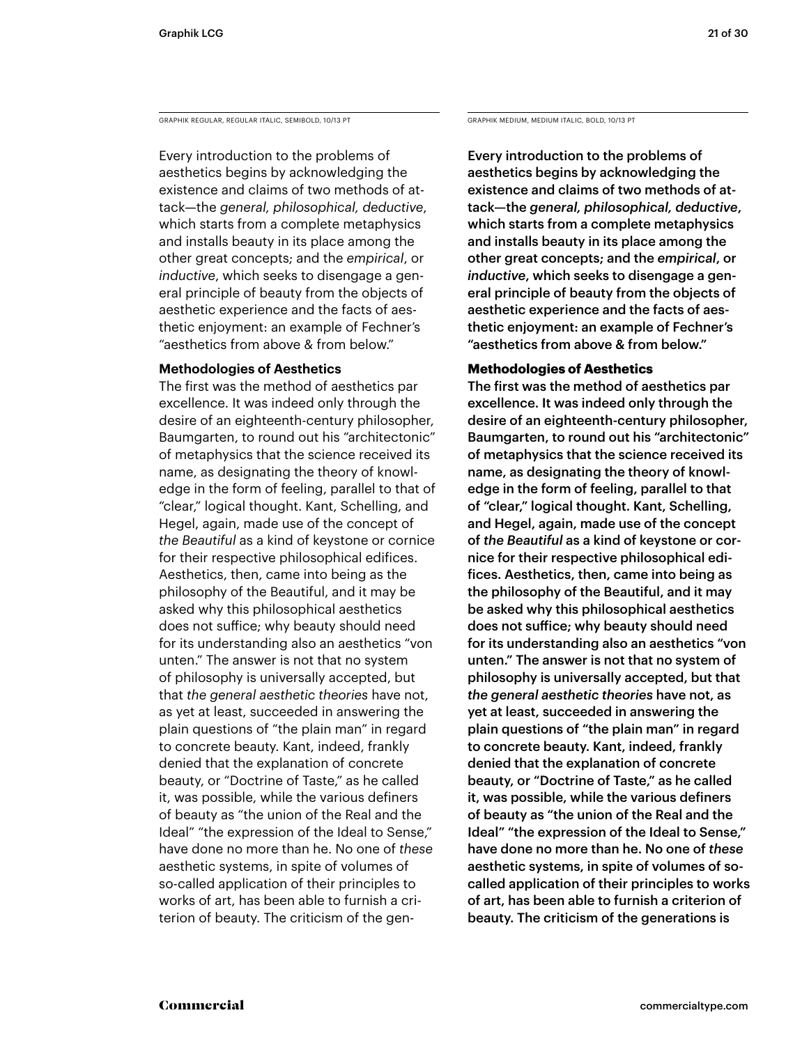GRAPHIK REGULAR, REGULAR ITALIC, SEMIBOLD, 10/13 PT GRAPHIK MEDIUM, MEDIUM, MEDIUM ITALIC, BOLD, 10/13 PT

Every introduction to the problems of aesthetics begins by acknowledging the existence and claims of two methods of attack—the *general, philosophical, deductive*, which starts from a complete metaphysics and installs beauty in its place among the other great concepts; and the *empirical*, or *inductive*, which seeks to disengage a general principle of beauty from the objects of aesthetic experience and the facts of aesthetic enjoyment: an example of Fechner's "aesthetics from above & from below."

### **Methodologies of Aesthetics**

The first was the method of aesthetics par excellence. It was indeed only through the desire of an eighteenth-century philosopher, Baumgarten, to round out his "architectonic" of metaphysics that the science received its name, as designating the theory of knowledge in the form of feeling, parallel to that of "clear," logical thought. Kant, Schelling, and Hegel, again, made use of the concept of *the Beautiful* as a kind of keystone or cornice for their respective philosophical edifices. Aesthetics, then, came into being as the philosophy of the Beautiful, and it may be asked why this philosophical aesthetics does not suffice; why beauty should need for its understanding also an aesthetics "von unten." The answer is not that no system of philosophy is universally accepted, but that *the general aesthetic theories* have not, as yet at least, succeeded in answering the plain questions of "the plain man" in regard to concrete beauty. Kant, indeed, frankly denied that the explanation of concrete beauty, or "Doctrine of Taste," as he called it, was possible, while the various definers of beauty as "the union of the Real and the Ideal" "the expression of the Ideal to Sense," have done no more than he. No one of *these* aesthetic systems, in spite of volumes of so-called application of their principles to works of art, has been able to furnish a criterion of beauty. The criticism of the gen-

Every introduction to the problems of aesthetics begins by acknowledging the existence and claims of two methods of attack—the *general, philosophical, deductive*, which starts from a complete metaphysics and installs beauty in its place among the other great concepts; and the *empirical*, or *inductive*, which seeks to disengage a general principle of beauty from the objects of aesthetic experience and the facts of aesthetic enjoyment: an example of Fechner's "aesthetics from above & from below."

### **Methodologies of Aesthetics**

The first was the method of aesthetics par excellence. It was indeed only through the desire of an eighteenth-century philosopher, Baumgarten, to round out his "architectonic" of metaphysics that the science received its name, as designating the theory of knowledge in the form of feeling, parallel to that of "clear," logical thought. Kant, Schelling, and Hegel, again, made use of the concept of *the Beautiful* as a kind of keystone or cornice for their respective philosophical edifices. Aesthetics, then, came into being as the philosophy of the Beautiful, and it may be asked why this philosophical aesthetics does not suffice; why beauty should need for its understanding also an aesthetics "von unten." The answer is not that no system of philosophy is universally accepted, but that *the general aesthetic theories* have not, as yet at least, succeeded in answering the plain questions of "the plain man" in regard to concrete beauty. Kant, indeed, frankly denied that the explanation of concrete beauty, or "Doctrine of Taste," as he called it, was possible, while the various definers of beauty as "the union of the Real and the Ideal" "the expression of the Ideal to Sense," have done no more than he. No one of *these* aesthetic systems, in spite of volumes of socalled application of their principles to works of art, has been able to furnish a criterion of beauty. The criticism of the generations is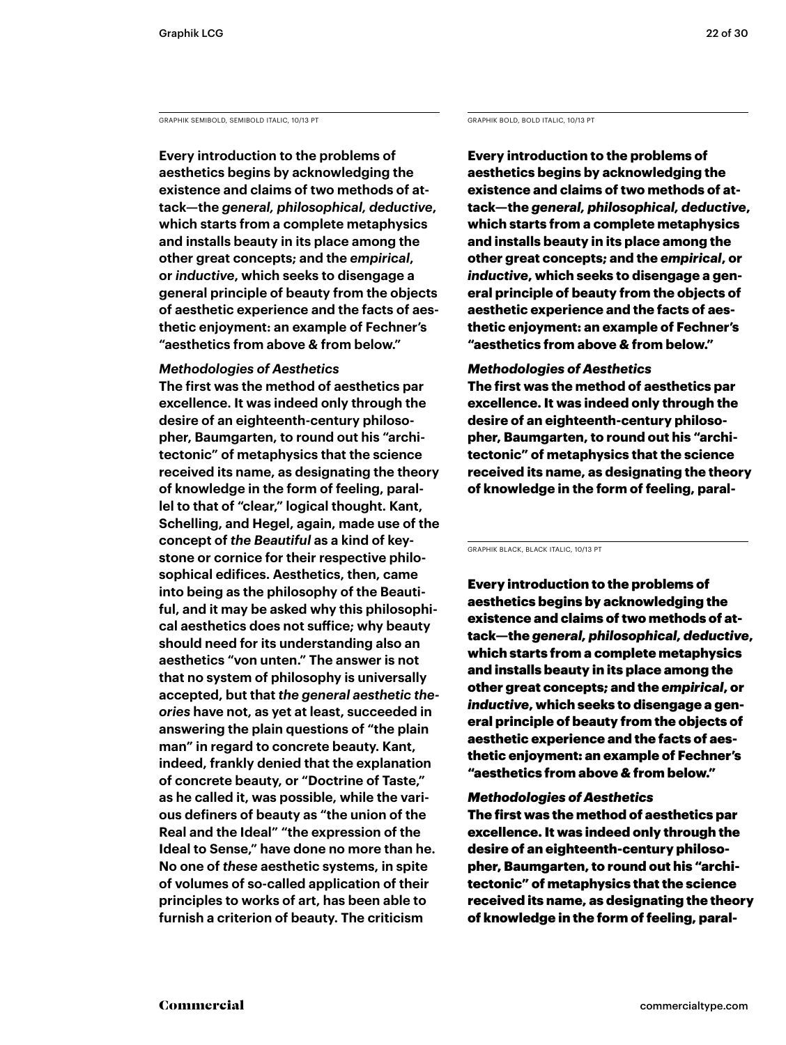GRAPHIK SEMIBOLD, SEMIBOLD ITALIC, 10/13 PT GRAPHIK BOLD, BOLD ITALIC, 10/13 PT

**Every introduction to the problems of aesthetics begins by acknowledging the existence and claims of two methods of attack—the** *general, philosophical, deductive***, which starts from a complete metaphysics and installs beauty in its place among the other great concepts; and the** *empirical***, or** *inductive***, which seeks to disengage a general principle of beauty from the objects of aesthetic experience and the facts of aesthetic enjoyment: an example of Fechner's "aesthetics from above & from below."** 

### *Methodologies of Aesthetics*

**The first was the method of aesthetics par excellence. It was indeed only through the desire of an eighteenth-century philosopher, Baumgarten, to round out his "architectonic" of metaphysics that the science received its name, as designating the theory of knowledge in the form of feeling, parallel to that of "clear," logical thought. Kant, Schelling, and Hegel, again, made use of the concept of** *the Beautiful* **as a kind of keystone or cornice for their respective philosophical edifices. Aesthetics, then, came into being as the philosophy of the Beautiful, and it may be asked why this philosophical aesthetics does not suffice; why beauty should need for its understanding also an aesthetics "von unten." The answer is not that no system of philosophy is universally accepted, but that** *the general aesthetic theories* **have not, as yet at least, succeeded in answering the plain questions of "the plain man" in regard to concrete beauty. Kant, indeed, frankly denied that the explanation of concrete beauty, or "Doctrine of Taste," as he called it, was possible, while the various definers of beauty as "the union of the Real and the Ideal" "the expression of the Ideal to Sense," have done no more than he. No one of** *these* **aesthetic systems, in spite of volumes of so-called application of their principles to works of art, has been able to furnish a criterion of beauty. The criticism** 

**Every introduction to the problems of aesthetics begins by acknowledging the existence and claims of two methods of attack—the** *general, philosophical, deductive***, which starts from a complete metaphysics and installs beauty in its place among the other great concepts; and the** *empirical***, or**  *inductive***, which seeks to disengage a general principle of beauty from the objects of aesthetic experience and the facts of aesthetic enjoyment: an example of Fechner's "aesthetics from above & from below."** 

### *Methodologies of Aesthetics*

**The first was the method of aesthetics par excellence. It was indeed only through the desire of an eighteenth-century philosopher, Baumgarten, to round out his "architectonic" of metaphysics that the science received its name, as designating the theory of knowledge in the form of feeling, paral-**

GRAPHIK BLACK, BLACK ITALIC, 10/13 PT

Every introduction to the problems of aesthetics begins by acknowledging the existence and claims of two methods of attack—the *general, philosophical, deductive*, which starts from a complete metaphysics and installs beauty in its place among the other great concepts; and the *empirical*, or *inductive*, which seeks to disengage a general principle of beauty from the objects of aesthetic experience and the facts of aesthetic enjoyment: an example of Fechner's "aesthetics from above & from below."

### *Methodologies of Aesthetics*

The first was the method of aesthetics par excellence. It was indeed only through the desire of an eighteenth-century philosopher, Baumgarten, to round out his "architectonic" of metaphysics that the science received its name, as designating the theory of knowledge in the form of feeling, paral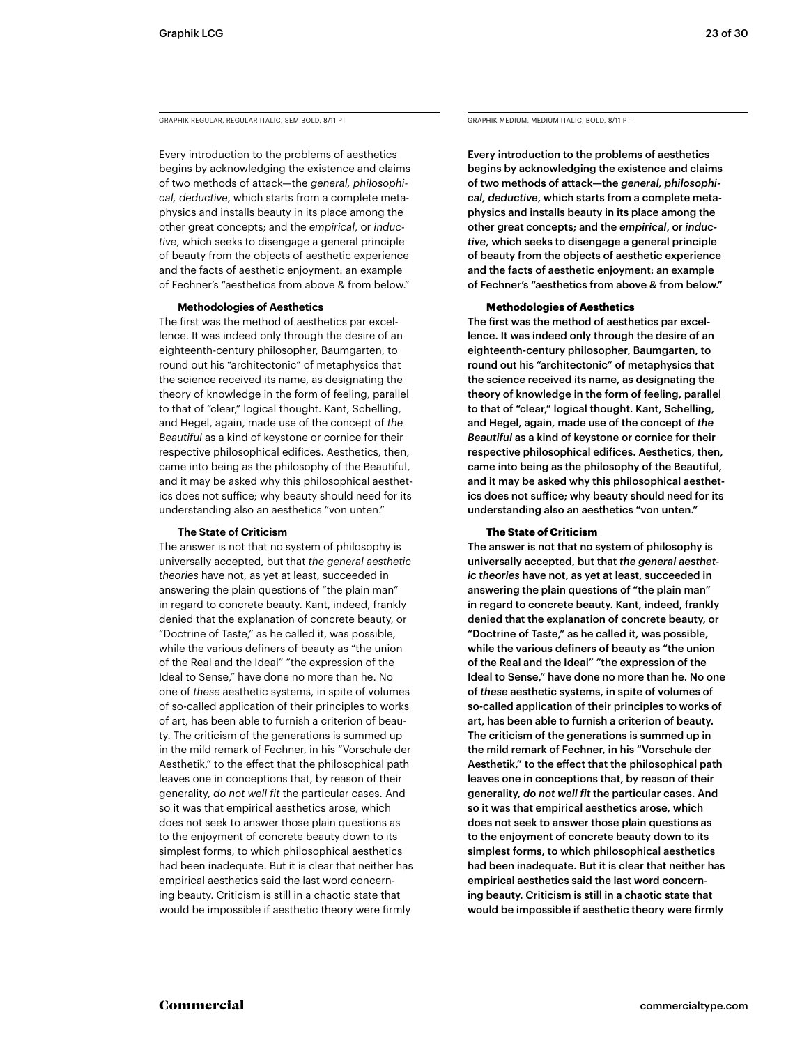GRAPHIK REGULAR, REGULAR ITALIC, SEMIBOLD, 8/11 PT GRAPHIK MEDIUM, MEDIUM ITALIC, BOLD, 8/11 PT

Every introduction to the problems of aesthetics begins by acknowledging the existence and claims of two methods of attack—the *general, philosophical, deductive*, which starts from a complete metaphysics and installs beauty in its place among the other great concepts; and the *empirical*, or *inductive*, which seeks to disengage a general principle of beauty from the objects of aesthetic experience and the facts of aesthetic enjoyment: an example of Fechner's "aesthetics from above & from below."

### **Methodologies of Aesthetics**

The first was the method of aesthetics par excellence. It was indeed only through the desire of an eighteenth-century philosopher, Baumgarten, to round out his "architectonic" of metaphysics that the science received its name, as designating the theory of knowledge in the form of feeling, parallel to that of "clear," logical thought. Kant, Schelling, and Hegel, again, made use of the concept of *the Beautiful* as a kind of keystone or cornice for their respective philosophical edifices. Aesthetics, then, came into being as the philosophy of the Beautiful, and it may be asked why this philosophical aesthetics does not suffice; why beauty should need for its understanding also an aesthetics "von unten."

### **The State of Criticism**

The answer is not that no system of philosophy is universally accepted, but that *the general aesthetic theories* have not, as yet at least, succeeded in answering the plain questions of "the plain man" in regard to concrete beauty. Kant, indeed, frankly denied that the explanation of concrete beauty, or "Doctrine of Taste," as he called it, was possible, while the various definers of beauty as "the union of the Real and the Ideal" "the expression of the Ideal to Sense," have done no more than he. No one of *these* aesthetic systems, in spite of volumes of so-called application of their principles to works of art, has been able to furnish a criterion of beauty. The criticism of the generations is summed up in the mild remark of Fechner, in his "Vorschule der Aesthetik," to the effect that the philosophical path leaves one in conceptions that, by reason of their generality, *do not well fit* the particular cases. And so it was that empirical aesthetics arose, which does not seek to answer those plain questions as to the enjoyment of concrete beauty down to its simplest forms, to which philosophical aesthetics had been inadequate. But it is clear that neither has empirical aesthetics said the last word concerning beauty. Criticism is still in a chaotic state that would be impossible if aesthetic theory were firmly

Every introduction to the problems of aesthetics begins by acknowledging the existence and claims of two methods of attack—the *general, philosophical, deductive*, which starts from a complete metaphysics and installs beauty in its place among the other great concepts; and the *empirical*, or *inductive*, which seeks to disengage a general principle of beauty from the objects of aesthetic experience and the facts of aesthetic enjoyment: an example of Fechner's "aesthetics from above & from below."

### **Methodologies of Aesthetics**

The first was the method of aesthetics par excellence. It was indeed only through the desire of an eighteenth-century philosopher, Baumgarten, to round out his "architectonic" of metaphysics that the science received its name, as designating the theory of knowledge in the form of feeling, parallel to that of "clear," logical thought. Kant, Schelling, and Hegel, again, made use of the concept of *the Beautiful* as a kind of keystone or cornice for their respective philosophical edifices. Aesthetics, then, came into being as the philosophy of the Beautiful, and it may be asked why this philosophical aesthetics does not suffice; why beauty should need for its understanding also an aesthetics "von unten."

### **The State of Criticism**

The answer is not that no system of philosophy is universally accepted, but that *the general aesthetic theories* have not, as yet at least, succeeded in answering the plain questions of "the plain man" in regard to concrete beauty. Kant, indeed, frankly denied that the explanation of concrete beauty, or "Doctrine of Taste," as he called it, was possible, while the various definers of beauty as "the union of the Real and the Ideal" "the expression of the Ideal to Sense," have done no more than he. No one of *these* aesthetic systems, in spite of volumes of so-called application of their principles to works of art, has been able to furnish a criterion of beauty. The criticism of the generations is summed up in the mild remark of Fechner, in his "Vorschule der Aesthetik," to the effect that the philosophical path leaves one in conceptions that, by reason of their generality, *do not well fit* the particular cases. And so it was that empirical aesthetics arose, which does not seek to answer those plain questions as to the enjoyment of concrete beauty down to its simplest forms, to which philosophical aesthetics had been inadequate. But it is clear that neither has empirical aesthetics said the last word concerning beauty. Criticism is still in a chaotic state that would be impossible if aesthetic theory were firmly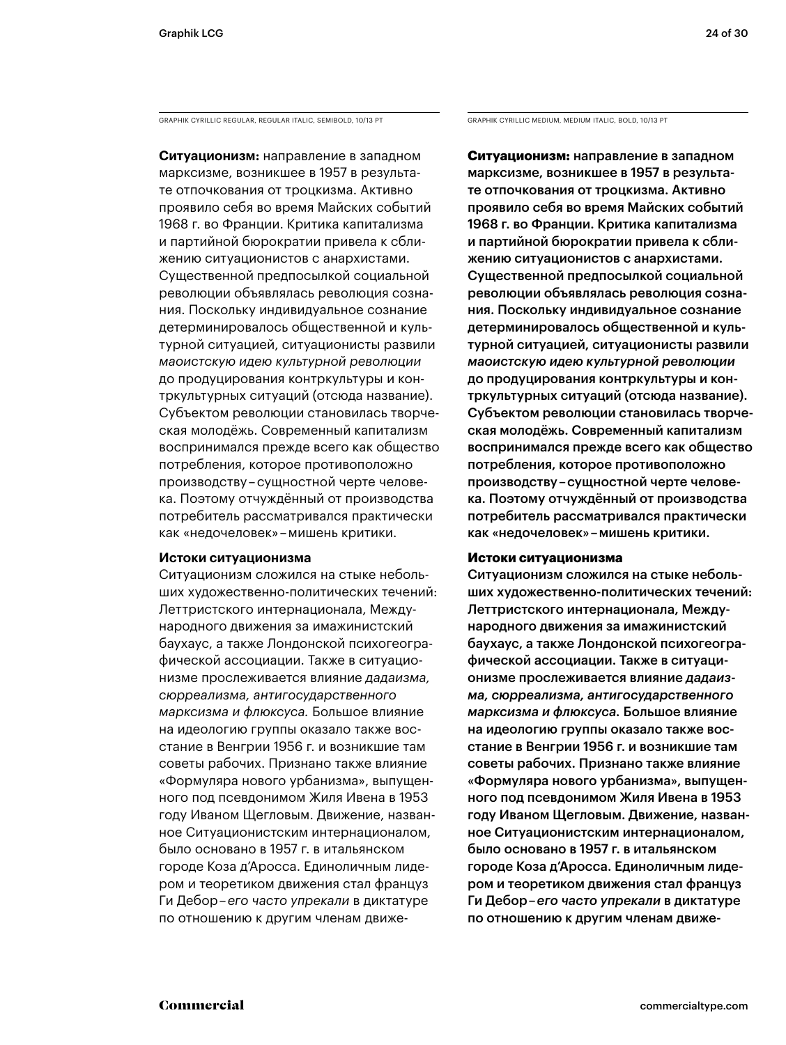GRAPHIK CYRILLIC REGULAR, REGULAR ITALIC, SEMIBOLD, 10/13 PT GRAPHIK CYRILLIC MEDIUM, MEDIUM ITALIC, BOLD, 10/13 PT

**Ситуационизм:** направление в западном марксизме, возникшее в 1957 в результате отпочкования от троцкизма. Активно проявило себя во время Майских событий 1968 г. во Франции. Критика капитализма и партийной бюрократии привела к сближению ситуационистов с анархистами. Существенной предпосылкой социальной революции объявлялась революция сознания. Поскольку индивидуальное сознание детерминировалось общественной и культурной ситуацией, ситуационисты развили *маоистскую идею культурной революции* до продуцирования контркультуры и контркультурных ситуаций (отсюда название). Субъектом революции становилась творческая молодёжь. Современный капитализм воспринимался прежде всего как общество потребления, которое противоположно производству – сущностной черте человека. Поэтому отчуждённый от производства потребитель рассматривался практически как «недочеловек» – мишень критики.

### **Истоки ситуационизма**

Ситуационизм сложился на стыке небольших художественно-политических течений: Леттристского интернационала, Международного движения за имажинистский баухаус, а также Лондонской психогеографической ассоциации. Также в ситуационизме прослеживается влияние *дадаизма, сюрреализма, антигосударственного марксизма и флюксуса.* Большое влияние на идеологию группы оказало также восстание в Венгрии 1956 г. и возникшие там советы рабочих. Признано также влияние «Формуляра нового урбанизма», выпущенного под псевдонимом Жиля Ивена в 1953 году Иваном Щегловым. Движение, названное Ситуационистским интернационалом, было основано в 1957 г. в итальянском городе Коза д'Аросса. Единоличным лидером и теоретиком движения стал француз Ги Дебор – *его часто упрекали* в диктатуре по отношению к другим членам движе-

**Ситуационизм:** направление в западном марксизме, возникшее в 1957 в результате отпочкования от троцкизма. Активно проявило себя во время Майских событий 1968 г. во Франции. Критика капитализма и партийной бюрократии привела к сближению ситуационистов с анархистами. Существенной предпосылкой социальной революции объявлялась революция сознания. Поскольку индивидуальное сознание детерминировалось общественной и культурной ситуацией, ситуационисты развили *маоистскую идею культурной революции* до продуцирования контркультуры и контркультурных ситуаций (отсюда название). Субъектом революции становилась творческая молодёжь. Современный капитализм воспринимался прежде всего как общество потребления, которое противоположно производству – сущностной черте человека. Поэтому отчуждённый от производства потребитель рассматривался практически как «недочеловек» – мишень критики.

### **Истоки ситуационизма**

Ситуационизм сложился на стыке небольших художественно-политических течений: Леттристского интернационала, Международного движения за имажинистский баухаус, а также Лондонской психогеографической ассоциации. Также в ситуационизме прослеживается влияние *дадаизма, сюрреализма, антигосударственного марксизма и флюксуса.* Большое влияние на идеологию группы оказало также восстание в Венгрии 1956 г. и возникшие там советы рабочих. Признано также влияние «Формуляра нового урбанизма», выпущенного под псевдонимом Жиля Ивена в 1953 году Иваном Щегловым. Движение, названное Ситуационистским интернационалом, было основано в 1957 г. в итальянском городе Коза д'Аросса. Единоличным лидером и теоретиком движения стал француз Ги Дебор – *его часто упрекали* в диктатуре по отношению к другим членам движе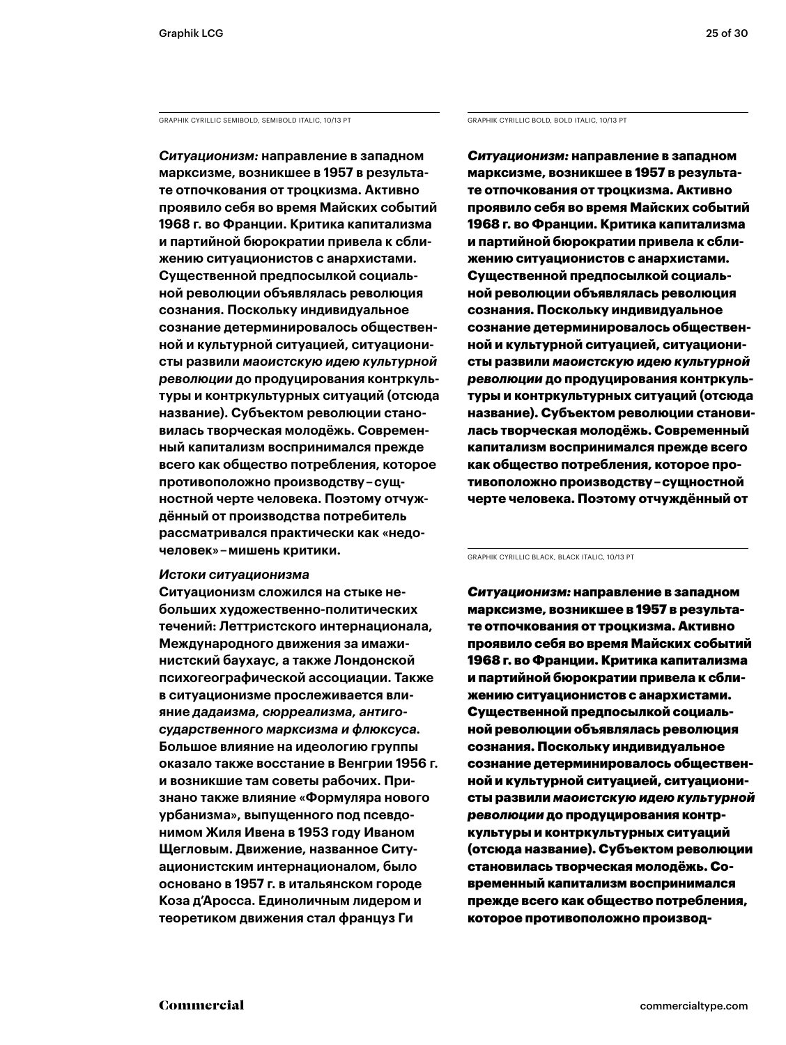GRAPHIK CYRILLIC SEMIBOLD, SEMIBOLD ITALIC, 10/13 PT GRAPHIK CYRILLIC BOLD, BOLD ITALIC, 10/13 PT

*Ситуационизм:* **направление в западном марксизме, возникшее в 1957 в результате отпочкования от троцкизма. Активно проявило себя во время Майских событий 1968 г. во Франции. Критика капитализма и партийной бюрократии привела к сближению ситуационистов с анархистами. Существенной предпосылкой социальной революции объявлялась революция сознания. Поскольку индивидуальное сознание детерминировалось общественной и культурной ситуацией, ситуационисты развили** *маоистскую идею культурной революции* **до продуцирования контркультуры и контркультурных ситуаций (отсюда название). Субъектом революции становилась творческая молодёжь. Современный капитализм воспринимался прежде всего как общество потребления, которое противоположно производству – сущностной черте человека. Поэтому отчуждённый от производства потребитель рассматривался практически как «недочеловек» – мишень критики.** 

### *Истоки ситуационизма*

**Ситуационизм сложился на стыке небольших художественно-политических течений: Леттристского интернационала, Международного движения за имажинистский баухаус, а также Лондонской психогеографической ассоциации. Также в ситуационизме прослеживается влияние** *дадаизма, сюрреализма, антигосударственного марксизма и флюксуса.* **Большое влияние на идеологию группы оказало также восстание в Венгрии 1956 г. и возникшие там советы рабочих. Признано также влияние «Формуляра нового урбанизма», выпущенного под псевдонимом Жиля Ивена в 1953 году Иваном Щегловым. Движение, названное Ситуационистским интернационалом, было основано в 1957 г. в итальянском городе Коза д'Аросса. Единоличным лидером и теоретиком движения стал француз Ги** 

*Ситуационизм:* **направление в западном марксизме, возникшее в 1957 в результате отпочкования от троцкизма. Активно проявило себя во время Майских событий 1968 г. во Франции. Критика капитализма и партийной бюрократии привела к сближению ситуационистов с анархистами. Существенной предпосылкой социальной революции объявлялась революция сознания. Поскольку индивидуальное сознание детерминировалось общественной и культурной ситуацией, ситуационисты развили** *маоистскую идею культурной революции* **до продуцирования контркультуры и контркультурных ситуаций (отсюда название). Субъектом революции становилась творческая молодёжь. Современный капитализм воспринимался прежде всего как общество потребления, которое противоположно производству – сущностной черте человека. Поэтому отчуждённый от** 

GRAPHIK CYRILLIC BLACK, BLACK ITALIC, 10/13 PT

*Ситуационизм:* направление в западном марксизме, возникшее в 1957 в результате отпочкования от троцкизма. Активно проявило себя во время Майских событий 1968 г. во Франции. Критика капитализма и партийной бюрократии привела к сближению ситуационистов с анархистами. Существенной предпосылкой социальной революции объявлялась революция сознания. Поскольку индивидуальное сознание детерминировалось общественной и культурной ситуацией, ситуационисты развили *маоистскую идею культурной революции* до продуцирования контркультуры и контркультурных ситуаций (отсюда название). Субъектом революции становилась творческая молодёжь. Современный капитализм воспринимался прежде всего как общество потребления, которое противоположно производ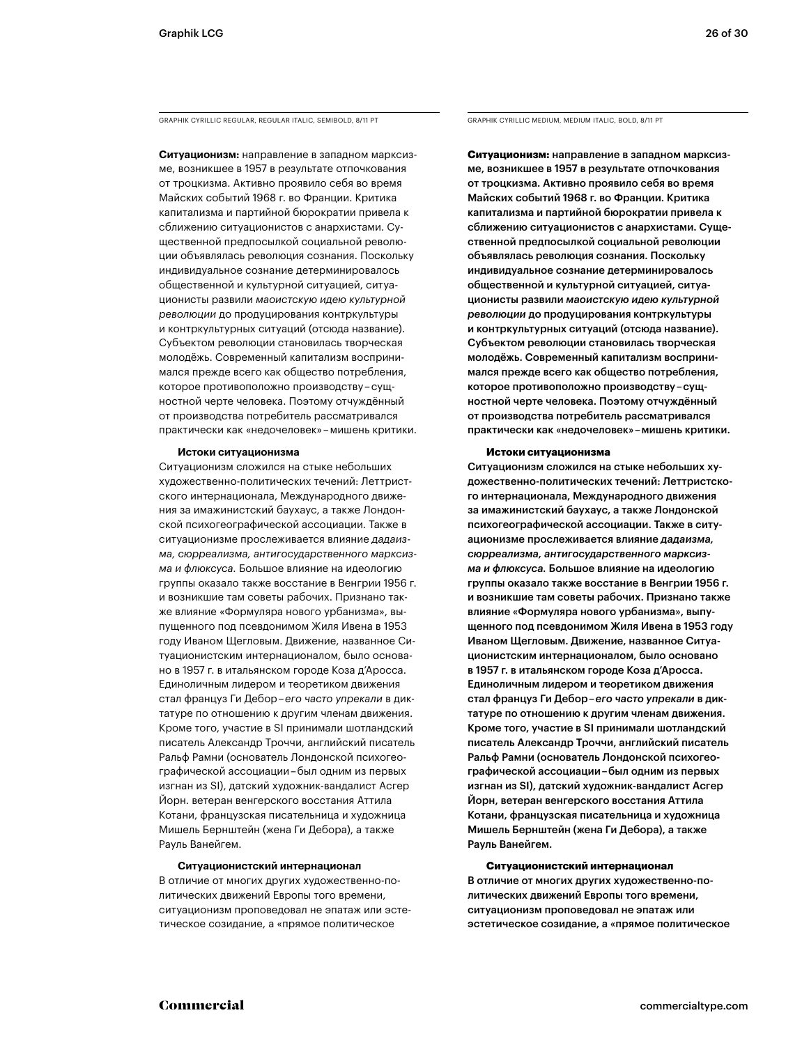GRAPHIK CYRILLIC REGULAR, REGULAR ITALIC, SEMIBOLD, 8/11 PT GRAPHIK CYRILLIC MEDIUM, MEDIUM ITALIC, BOLD, 8/11 PT

**Ситуационизм:** направление в западном марксизме, возникшее в 1957 в результате отпочкования от троцкизма. Активно проявило себя во время Майских событий 1968 г. во Франции. Критика капитализма и партийной бюрократии привела к сближению ситуационистов с анархистами. Существенной предпосылкой социальной революции объявлялась революция сознания. Поскольку индивидуальное сознание детерминировалось общественной и культурной ситуацией, ситуационисты развили *маоистскую идею культурной революции* до продуцирования контркультуры и контркультурных ситуаций (отсюда название). Субъектом революции становилась творческая молодёжь. Современный капитализм воспринимался прежде всего как общество потребления, которое противоположно производству – сущностной черте человека. Поэтому отчуждённый от производства потребитель рассматривался практически как «недочеловек» – мишень критики.

#### **Истоки ситуационизма**

Ситуационизм сложился на стыке небольших художественно-политических течений: Леттристского интернационала, Международного движения за имажинистский баухаус, а также Лондонской психогеографической ассоциации. Также в ситуационизме прослеживается влияние *дадаизма, сюрреализма, антигосударственного марксизма и флюксуса.* Большое влияние на идеологию группы оказало также восстание в Венгрии 1956 г. и возникшие там советы рабочих. Признано также влияние «Формуляра нового урбанизма», выпущенного под псевдонимом Жиля Ивена в 1953 году Иваном Щегловым. Движение, названное Ситуационистским интернационалом, было основано в 1957 г. в итальянском городе Коза д'Аросса. Единоличным лидером и теоретиком движения стал француз Ги Дебор – *его часто упрекали* в диктатуре по отношению к другим членам движения. Кроме того, участие в SI принимали шотландский писатель Александр Троччи, английский писатель Ральф Рамни (основатель Лондонской психогеографической ассоциации – был одним из первых изгнан из SI), датский художник-вандалист Асгер Йорн. ветеран венгерского восстания Аттила Котани, французская писательница и художница Мишель Бернштейн (жена Ги Дебора), а также Рауль Ванейгем.

#### **Ситуационистский интернационал**

В отличие от многих других художественно-политических движений Европы того времени, ситуационизм проповедовал не эпатаж или эстетическое созидание, а «прямое политическое

**Ситуационизм:** направление в западном марксизме, возникшее в 1957 в результате отпочкования от троцкизма. Активно проявило себя во время Майских событий 1968 г. во Франции. Критика капитализма и партийной бюрократии привела к сближению ситуационистов с анархистами. Существенной предпосылкой социальной революции объявлялась революция сознания. Поскольку индивидуальное сознание детерминировалось общественной и культурной ситуацией, ситуационисты развили *маоистскую идею культурной революции* до продуцирования контркультуры и контркультурных ситуаций (отсюда название). Субъектом революции становилась творческая молодёжь. Современный капитализм воспринимался прежде всего как общество потребления, которое противоположно производству – сущностной черте человека. Поэтому отчуждённый от производства потребитель рассматривался практически как «недочеловек» – мишень критики.

#### **Истоки ситуационизма**

Ситуационизм сложился на стыке небольших художественно-политических течений: Леттристского интернационала, Международного движения за имажинистский баухаус, а также Лондонской психогеографической ассоциации. Также в ситуационизме прослеживается влияние *дадаизма, сюрреализма, антигосударственного марксизма и флюксуса.* Большое влияние на идеологию группы оказало также восстание в Венгрии 1956 г. и возникшие там советы рабочих. Признано также влияние «Формуляра нового урбанизма», выпущенного под псевдонимом Жиля Ивена в 1953 году Иваном Щегловым. Движение, названное Ситуационистским интернационалом, было основано в 1957 г. в итальянском городе Коза д'Аросса. Единоличным лидером и теоретиком движения стал француз Ги Дебор – *его часто упрекали* в диктатуре по отношению к другим членам движения. Кроме того, участие в SI принимали шотландский писатель Александр Троччи, английский писатель Ральф Рамни (основатель Лондонской психогеографической ассоциации – был одним из первых изгнан из SI), датский художник-вандалист Асгер Йорн, ветеран венгерского восстания Аттила Котани, французская писательница и художница Мишель Бернштейн (жена Ги Дебора), а также Рауль Ванейгем.

#### **Ситуационистский интернационал**

В отличие от многих других художественно-политических движений Европы того времени, ситуационизм проповедовал не эпатаж или эстетическое созидание, а «прямое политическое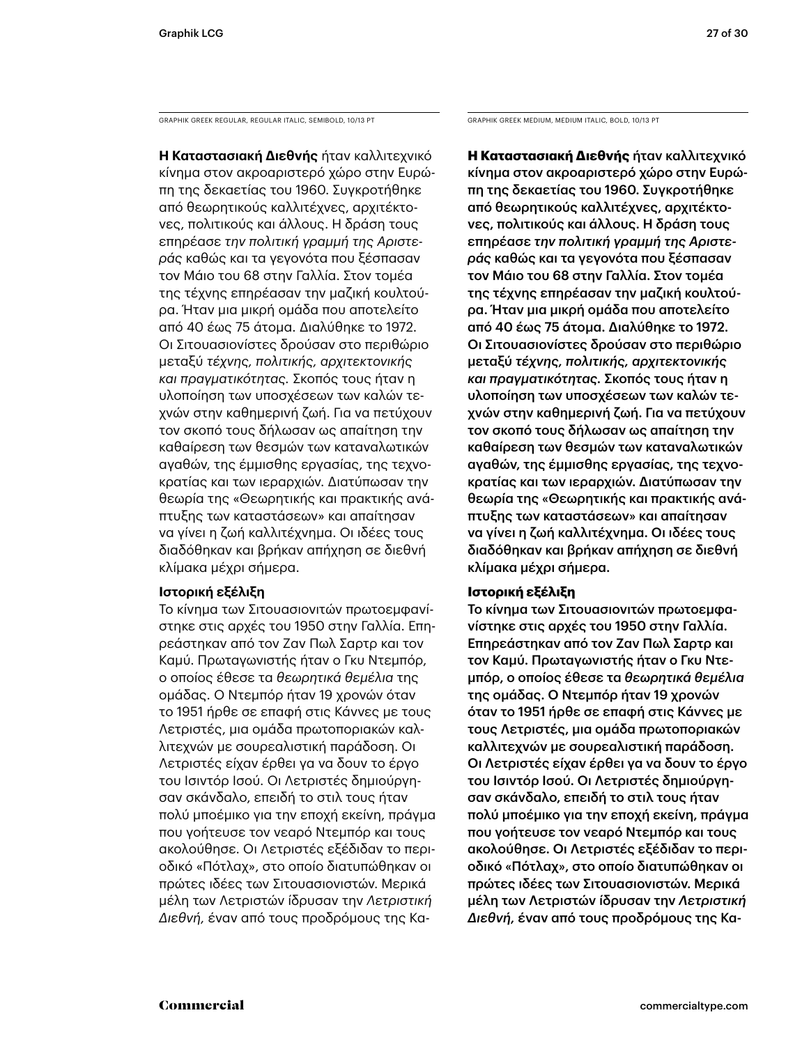GRAPHIK GREEK REGULAR, REGULAR ITALIC, SEMIBOLD, 10/13 PT GRAPHIK GREEK MEDIUM, MEDIUM ITALIC, BOLD, 10/13 PT

**Η Καταστασιακή Διεθνής** ήταν καλλιτεχνικό κίνημα στον ακροαριστερό χώρο στην Ευρώπη της δεκαετίας του 1960. Συγκροτήθηκε από θεωρητικούς καλλιτέχνες, αρχιτέκτονες, πολιτικούς και άλλους. Η δράση τους επηρέασε *την πολιτική γραμμή της Αριστεράς* καθώς και τα γεγονότα που ξέσπασαν τον Μάιο του 68 στην Γαλλία. Στον τομέα της τέχνης επηρέασαν την μαζική κουλτούρα. Ήταν μια μικρή ομάδα που αποτελείτο από 40 έως 75 άτομα. Διαλύθηκε το 1972. Οι Σιτουασιονίστες δρούσαν στο περιθώριο μεταξύ *τέχνης, πολιτικής, αρχιτεκτονικής και πραγματικότητας.* Σκοπός τους ήταν η υλοποίηση των υποσχέσεων των καλών τεχνών στην καθημερινή ζωή. Για να πετύχουν τον σκοπό τους δήλωσαν ως απαίτηση την καθαίρεση των θεσμών των καταναλωτικών αγαθών, της έμμισθης εργασίας, της τεχνοκρατίας και των ιεραρχιών. Διατύπωσαν την θεωρία της «Θεωρητικής και πρακτικής ανάπτυξης των καταστάσεων» και απαίτησαν να γίνει η ζωή καλλιτέχνημα. Οι ιδέες τους διαδόθηκαν και βρήκαν απήχηση σε διεθνή κλίμακα μέχρι σήμερα.

### **Ιστορική εξέλιξη**

Το κίνημα των Σιτουασιονιτών πρωτοεμφανίστηκε στις αρχές του 1950 στην Γαλλία. Επηρεάστηκαν από τον Ζαν Πωλ Σαρτρ και τον Καμύ. Πρωταγωνιστής ήταν ο Γκυ Ντεμπόρ, ο οποίος έθεσε τα *θεωρητικά θεμέλια* της ομάδας. Ο Ντεμπόρ ήταν 19 χρονών όταν το 1951 ήρθε σε επαφή στις Κάννες με τους Λετριστές, μια ομάδα πρωτοποριακών καλλιτεχνών με σουρεαλιστική παράδοση. Οι Λετριστές είχαν έρθει γα να δουν το έργο του Ισιντόρ Ισού. Οι Λετριστές δημιούργησαν σκάνδαλο, επειδή το στιλ τους ήταν πολύ μποέμικο για την εποχή εκείνη, πράγμα που γοήτευσε τον νεαρό Ντεμπόρ και τους ακολούθησε. Οι Λετριστές εξέδιδαν το περιοδικό «Πότλαχ», στο οποίο διατυπώθηκαν οι πρώτες ιδέες των Σιτουασιονιστών. Μερικά μέλη των Λετριστών ίδρυσαν την *Λετριστική Διεθνή,* έναν από τους προδρόμους της Κα-

**Η Καταστασιακή Διεθνής** ήταν καλλιτεχνικό κίνημα στον ακροαριστερό χώρο στην Ευρώπη της δεκαετίας του 1960. Συγκροτήθηκε από θεωρητικούς καλλιτέχνες, αρχιτέκτονες, πολιτικούς και άλλους. Η δράση τους επηρέασε *την πολιτική γραμμή της Αριστεράς* καθώς και τα γεγονότα που ξέσπασαν τον Μάιο του 68 στην Γαλλία. Στον τομέα της τέχνης επηρέασαν την μαζική κουλτούρα. Ήταν μια μικρή ομάδα που αποτελείτο από 40 έως 75 άτομα. Διαλύθηκε το 1972. Οι Σιτουασιονίστες δρούσαν στο περιθώριο μεταξύ *τέχνης, πολιτικής, αρχιτεκτονικής και πραγματικότητας.* Σκοπός τους ήταν η υλοποίηση των υποσχέσεων των καλών τεχνών στην καθημερινή ζωή. Για να πετύχουν τον σκοπό τους δήλωσαν ως απαίτηση την καθαίρεση των θεσμών των καταναλωτικών αγαθών, της έμμισθης εργασίας, της τεχνοκρατίας και των ιεραρχιών. Διατύπωσαν την θεωρία της «Θεωρητικής και πρακτικής ανάπτυξης των καταστάσεων» και απαίτησαν να γίνει η ζωή καλλιτέχνημα. Οι ιδέες τους διαδόθηκαν και βρήκαν απήχηση σε διεθνή κλίμακα μέχρι σήμερα.

### **Ιστορική εξέλιξη**

Το κίνημα των Σιτουασιονιτών πρωτοεμφανίστηκε στις αρχές του 1950 στην Γαλλία. Επηρεάστηκαν από τον Ζαν Πωλ Σαρτρ και τον Καμύ. Πρωταγωνιστής ήταν ο Γκυ Ντεμπόρ, ο οποίος έθεσε τα *θεωρητικά θεμέλια* της ομάδας. Ο Ντεμπόρ ήταν 19 χρονών όταν το 1951 ήρθε σε επαφή στις Κάννες με τους Λετριστές, μια ομάδα πρωτοποριακών καλλιτεχνών με σουρεαλιστική παράδοση. Οι Λετριστές είχαν έρθει γα να δουν το έργο του Ισιντόρ Ισού. Οι Λετριστές δημιούργησαν σκάνδαλο, επειδή το στιλ τους ήταν πολύ μποέμικο για την εποχή εκείνη, πράγμα που γοήτευσε τον νεαρό Ντεμπόρ και τους ακολούθησε. Οι Λετριστές εξέδιδαν το περιοδικό «Πότλαχ», στο οποίο διατυπώθηκαν οι πρώτες ιδέες των Σιτουασιονιστών. Μερικά μέλη των Λετριστών ίδρυσαν την *Λετριστική Διεθνή,* έναν από τους προδρόμους της Κα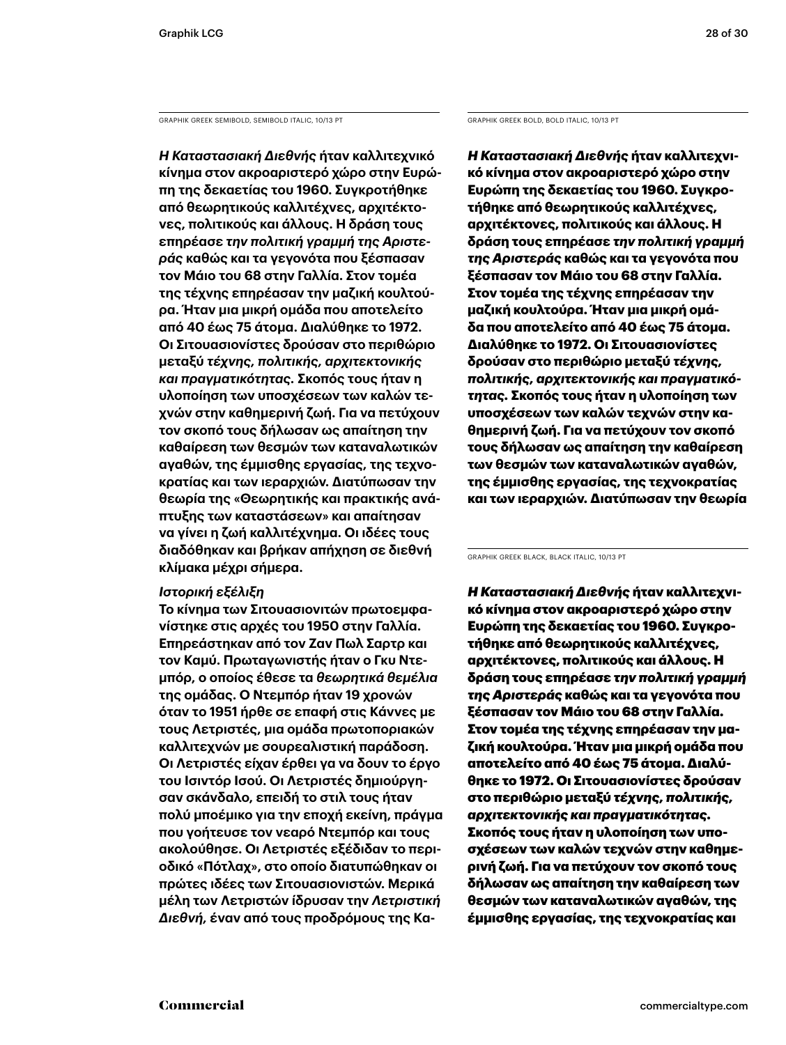GRAPHIK GREEK SEMIBOLD, SEMIBOLD ITALIC, 10/13 PT GRAPHIK GREEK BOLD, BOLD ITALIC, 10/13 PT

*Η Καταστασιακή Διεθνής* **ήταν καλλιτεχνικό κίνημα στον ακροαριστερό χώρο στην Ευρώπη της δεκαετίας του 1960. Συγκροτήθηκε από θεωρητικούς καλλιτέχνες, αρχιτέκτονες, πολιτικούς και άλλους. Η δράση τους επηρέασε** *την πολιτική γραμμή της Αριστεράς* **καθώς και τα γεγονότα που ξέσπασαν τον Μάιο του 68 στην Γαλλία. Στον τομέα της τέχνης επηρέασαν την μαζική κουλτούρα. Ήταν μια μικρή ομάδα που αποτελείτο από 40 έως 75 άτομα. Διαλύθηκε το 1972. Οι Σιτουασιονίστες δρούσαν στο περιθώριο μεταξύ** *τέχνης, πολιτικής, αρχιτεκτονικής και πραγματικότητας.* **Σκοπός τους ήταν η υλοποίηση των υποσχέσεων των καλών τεχνών στην καθημερινή ζωή. Για να πετύχουν τον σκοπό τους δήλωσαν ως απαίτηση την καθαίρεση των θεσμών των καταναλωτικών αγαθών, της έμμισθης εργασίας, της τεχνοκρατίας και των ιεραρχιών. Διατύπωσαν την θεωρία της «Θεωρητικής και πρακτικής ανάπτυξης των καταστάσεων» και απαίτησαν να γίνει η ζωή καλλιτέχνημα. Οι ιδέες τους διαδόθηκαν και βρήκαν απήχηση σε διεθνή κλίμακα μέχρι σήμερα.** 

### *Ιστορική εξέλιξη*

**Το κίνημα των Σιτουασιονιτών πρωτοεμφανίστηκε στις αρχές του 1950 στην Γαλλία. Επηρεάστηκαν από τον Ζαν Πωλ Σαρτρ και τον Καμύ. Πρωταγωνιστής ήταν ο Γκυ Ντεμπόρ, ο οποίος έθεσε τα** *θεωρητικά θεμέλια* **της ομάδας. Ο Ντεμπόρ ήταν 19 χρονών όταν το 1951 ήρθε σε επαφή στις Κάννες με τους Λετριστές, μια ομάδα πρωτοποριακών καλλιτεχνών με σουρεαλιστική παράδοση. Οι Λετριστές είχαν έρθει γα να δουν το έργο του Ισιντόρ Ισού. Οι Λετριστές δημιούργησαν σκάνδαλο, επειδή το στιλ τους ήταν πολύ μποέμικο για την εποχή εκείνη, πράγμα που γοήτευσε τον νεαρό Ντεμπόρ και τους ακολούθησε. Οι Λετριστές εξέδιδαν το περιοδικό «Πότλαχ», στο οποίο διατυπώθηκαν οι πρώτες ιδέες των Σιτουασιονιστών. Μερικά μέλη των Λετριστών ίδρυσαν την** *Λετριστική Διεθνή,* **έναν από τους προδρόμους της Κα-**

*Η Καταστασιακή Διεθνής* **ήταν καλλιτεχνικό κίνημα στον ακροαριστερό χώρο στην Ευρώπη της δεκαετίας του 1960. Συγκροτήθηκε από θεωρητικούς καλλιτέχνες, αρχιτέκτονες, πολιτικούς και άλλους. Η δράση τους επηρέασε** *την πολιτική γραμμή της Αριστεράς* **καθώς και τα γεγονότα που ξέσπασαν τον Μάιο του 68 στην Γαλλία. Στον τομέα της τέχνης επηρέασαν την μαζική κουλτούρα. Ήταν μια μικρή ομάδα που αποτελείτο από 40 έως 75 άτομα. Διαλύθηκε το 1972. Οι Σιτουασιονίστες δρούσαν στο περιθώριο μεταξύ** *τέχνης, πολιτικής, αρχιτεκτονικής και πραγματικότητας.* **Σκοπός τους ήταν η υλοποίηση των υποσχέσεων των καλών τεχνών στην καθημερινή ζωή. Για να πετύχουν τον σκοπό τους δήλωσαν ως απαίτηση την καθαίρεση των θεσμών των καταναλωτικών αγαθών, της έμμισθης εργασίας, της τεχνοκρατίας και των ιεραρχιών. Διατύπωσαν την θεωρία** 

GRAPHIK GREEK BLACK, BLACK ITALIC, 10/13 PT

*Η Καταστασιακή Διεθνής* ήταν καλλιτεχνικό κίνημα στον ακροαριστερό χώρο στην Ευρώπη της δεκαετίας του 1960. Συγκροτήθηκε από θεωρητικούς καλλιτέχνες, αρχιτέκτονες, πολιτικούς και άλλους. Η δράση τους επηρέασε *την πολιτική γραμμή της Αριστεράς* καθώς και τα γεγονότα που ξέσπασαν τον Μάιο του 68 στην Γαλλία. Στον τομέα της τέχνης επηρέασαν την μαζική κουλτούρα. Ήταν μια μικρή ομάδα που αποτελείτο από 40 έως 75 άτομα. Διαλύθηκε το 1972. Οι Σιτουασιονίστες δρούσαν στο περιθώριο μεταξύ *τέχνης, πολιτικής, αρχιτεκτονικής και πραγματικότητας.* Σκοπός τους ήταν η υλοποίηση των υποσχέσεων των καλών τεχνών στην καθημερινή ζωή. Για να πετύχουν τον σκοπό τους δήλωσαν ως απαίτηση την καθαίρεση των θεσμών των καταναλωτικών αγαθών, της έμμισθης εργασίας, της τεχνοκρατίας και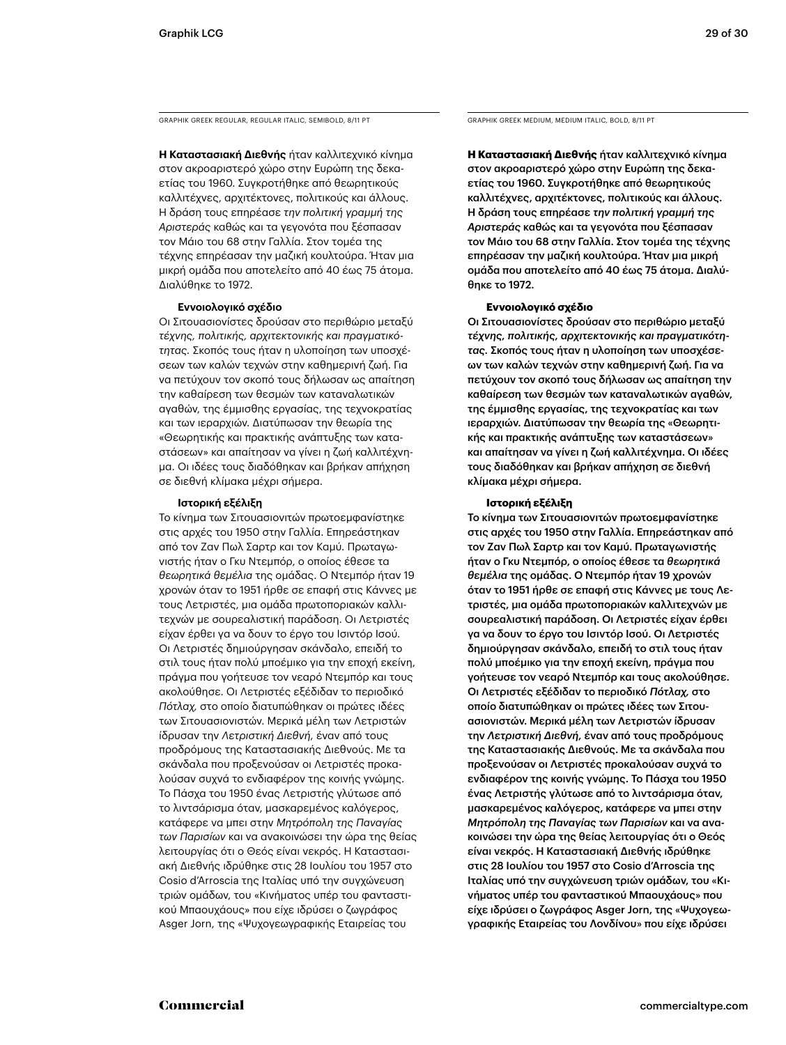GRAPHIK GREEK REGULAR, REGULAR ITALIC, SEMIBOLD, 8/11 PT GRAPHIK GREEK MEDIUM, MEDIUM ITALIC, BOLD, 8/11 PT

**Η Καταστασιακή Διεθνής** ήταν καλλιτεχνικό κίνημα στον ακροαριστερό χώρο στην Ευρώπη της δεκαετίας του 1960. Συγκροτήθηκε από θεωρητικούς καλλιτέχνες, αρχιτέκτονες, πολιτικούς και άλλους. Η δράση τους επηρέασε *την πολιτική γραμμή της Αριστεράς* καθώς και τα γεγονότα που ξέσπασαν τον Μάιο του 68 στην Γαλλία. Στον τομέα της τέχνης επηρέασαν την μαζική κουλτούρα. Ήταν μια μικρή ομάδα που αποτελείτο από 40 έως 75 άτομα. Διαλύθηκε το 1972.

### **Εννοιολογικό σχέδιο**

Οι Σιτουασιονίστες δρούσαν στο περιθώριο μεταξύ *τέχνης, πολιτικής, αρχιτεκτονικής και πραγματικότητας.* Σκοπός τους ήταν η υλοποίηση των υποσχέσεων των καλών τεχνών στην καθημερινή ζωή. Για να πετύχουν τον σκοπό τους δήλωσαν ως απαίτηση την καθαίρεση των θεσμών των καταναλωτικών αγαθών, της έμμισθης εργασίας, της τεχνοκρατίας και των ιεραρχιών. Διατύπωσαν την θεωρία της «Θεωρητικής και πρακτικής ανάπτυξης των καταστάσεων» και απαίτησαν να γίνει η ζωή καλλιτέχνημα. Οι ιδέες τους διαδόθηκαν και βρήκαν απήχηση σε διεθνή κλίμακα μέχρι σήμερα.

### **Ιστορική εξέλιξη**

Το κίνημα των Σιτουασιονιτών πρωτοεμφανίστηκε στις αρχές του 1950 στην Γαλλία. Επηρεάστηκαν από τον Ζαν Πωλ Σαρτρ και τον Καμύ. Πρωταγωνιστής ήταν ο Γκυ Ντεμπόρ, ο οποίος έθεσε τα *θεωρητικά θεμέλια* της ομάδας. Ο Ντεμπόρ ήταν 19 χρονών όταν το 1951 ήρθε σε επαφή στις Κάννες με τους Λετριστές, μια ομάδα πρωτοποριακών καλλιτεχνών με σουρεαλιστική παράδοση. Οι Λετριστές είχαν έρθει γα να δουν το έργο του Ισιντόρ Ισού. Οι Λετριστές δημιούργησαν σκάνδαλο, επειδή το στιλ τους ήταν πολύ μποέμικο για την εποχή εκείνη, πράγμα που γοήτευσε τον νεαρό Ντεμπόρ και τους ακολούθησε. Οι Λετριστές εξέδιδαν το περιοδικό *Πότλαχ,* στο οποίο διατυπώθηκαν οι πρώτες ιδέες των Σιτουασιονιστών. Μερικά μέλη των Λετριστών ίδρυσαν την *Λετριστική Διεθνή,* έναν από τους προδρόμους της Καταστασιακής Διεθνούς. Με τα σκάνδαλα που προξενούσαν οι Λετριστές προκαλούσαν συχνά το ενδιαφέρον της κοινής γνώμης. Το Πάσχα του 1950 ένας Λετριστής γλύτωσε από το λιντσάρισμα όταν, μασκαρεμένος καλόγερος, κατάφερε να μπει στην *Μητρόπολη της Παναγίας των Παρισίων* και να ανακοινώσει την ώρα της θείας λειτουργίας ότι ο Θεός είναι νεκρός. Η Καταστασιακή Διεθνής ιδρύθηκε στις 28 Ιουλίου του 1957 στο Cosio d'Arroscia της Ιταλίας υπό την συγχώνευση τριών ομάδων, του «Κινήματος υπέρ του φανταστικού Μπαουχάους» που είχε ιδρύσει ο ζωγράφος Asger Jorn, της «Ψυχογεωγραφικής Εταιρείας του

**Η Καταστασιακή Διεθνής** ήταν καλλιτεχνικό κίνημα στον ακροαριστερό χώρο στην Ευρώπη της δεκαετίας του 1960. Συγκροτήθηκε από θεωρητικούς καλλιτέχνες, αρχιτέκτονες, πολιτικούς και άλλους. Η δράση τους επηρέασε *την πολιτική γραμμή της Αριστεράς* καθώς και τα γεγονότα που ξέσπασαν τον Μάιο του 68 στην Γαλλία. Στον τομέα της τέχνης επηρέασαν την μαζική κουλτούρα. Ήταν μια μικρή ομάδα που αποτελείτο από 40 έως 75 άτομα. Διαλύθηκε το 1972.

### **Εννοιολογικό σχέδιο**

Οι Σιτουασιονίστες δρούσαν στο περιθώριο μεταξύ *τέχνης, πολιτικής, αρχιτεκτονικής και πραγματικότητας.* Σκοπός τους ήταν η υλοποίηση των υποσχέσεων των καλών τεχνών στην καθημερινή ζωή. Για να πετύχουν τον σκοπό τους δήλωσαν ως απαίτηση την καθαίρεση των θεσμών των καταναλωτικών αγαθών, της έμμισθης εργασίας, της τεχνοκρατίας και των ιεραρχιών. Διατύπωσαν την θεωρία της «Θεωρητικής και πρακτικής ανάπτυξης των καταστάσεων» και απαίτησαν να γίνει η ζωή καλλιτέχνημα. Οι ιδέες τους διαδόθηκαν και βρήκαν απήχηση σε διεθνή κλίμακα μέχρι σήμερα.

### **Ιστορική εξέλιξη**

Το κίνημα των Σιτουασιονιτών πρωτοεμφανίστηκε στις αρχές του 1950 στην Γαλλία. Επηρεάστηκαν από τον Ζαν Πωλ Σαρτρ και τον Καμύ. Πρωταγωνιστής ήταν ο Γκυ Ντεμπόρ, ο οποίος έθεσε τα *θεωρητικά θεμέλια* της ομάδας. Ο Ντεμπόρ ήταν 19 χρονών όταν το 1951 ήρθε σε επαφή στις Κάννες με τους Λετριστές, μια ομάδα πρωτοποριακών καλλιτεχνών με σουρεαλιστική παράδοση. Οι Λετριστές είχαν έρθει γα να δουν το έργο του Ισιντόρ Ισού. Οι Λετριστές δημιούργησαν σκάνδαλο, επειδή το στιλ τους ήταν πολύ μποέμικο για την εποχή εκείνη, πράγμα που γοήτευσε τον νεαρό Ντεμπόρ και τους ακολούθησε. Οι Λετριστές εξέδιδαν το περιοδικό *Πότλαχ,* στο οποίο διατυπώθηκαν οι πρώτες ιδέες των Σιτουασιονιστών. Μερικά μέλη των Λετριστών ίδρυσαν την *Λετριστική Διεθνή,* έναν από τους προδρόμους της Καταστασιακής Διεθνούς. Με τα σκάνδαλα που προξενούσαν οι Λετριστές προκαλούσαν συχνά το ενδιαφέρον της κοινής γνώμης. Το Πάσχα του 1950 ένας Λετριστής γλύτωσε από το λιντσάρισμα όταν, μασκαρεμένος καλόγερος, κατάφερε να μπει στην *Μητρόπολη της Παναγίας των Παρισίων* και να ανακοινώσει την ώρα της θείας λειτουργίας ότι ο Θεός είναι νεκρός. Η Καταστασιακή Διεθνής ιδρύθηκε στις 28 Ιουλίου του 1957 στο Cosio d'Arroscia της Ιταλίας υπό την συγχώνευση τριών ομάδων, του «Κινήματος υπέρ του φανταστικού Μπαουχάους» που είχε ιδρύσει ο ζωγράφος Asger Jorn, της «Ψυχογεωγραφικής Εταιρείας του Λονδίνου» που είχε ιδρύσει